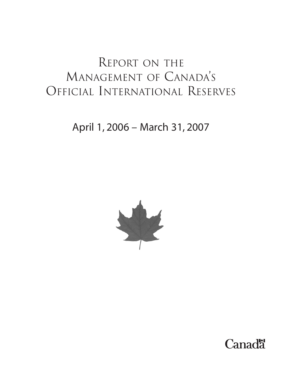## REPORT ON THE MANAGEMENT OF CANADA'S OFFICIAL INTERNATIONAL RESERVES

April 1, 2006 – March 31, 2007



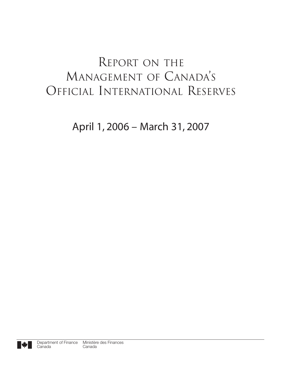## REPORT ON THE MANAGEMENT OF CANADA'S OFFICIAL INTERNATIONAL RESERVES

April 1, 2006 – March 31, 2007

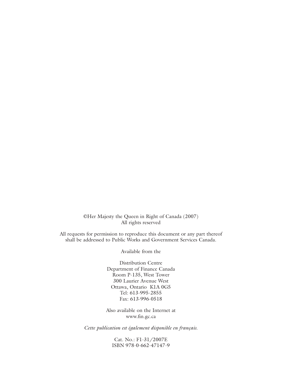©Her Majesty the Queen in Right of Canada (2007) All rights reserved

All requests for permission to reproduce this document or any part thereof shall be addressed to Public Works and Government Services Canada.

Available from the

Distribution Centre Department of Finance Canada Room P-135, West Tower 300 Laurier Avenue West Ottawa, Ontario K1A 0G5 Tel: 613-995-2855 Fax: 613-996-0518

Also available on the Internet at www.fin.gc.ca

*Cette publication est également disponible en français.*

Cat. No.: F1-31/2007E ISBN 978-0-662-47147-9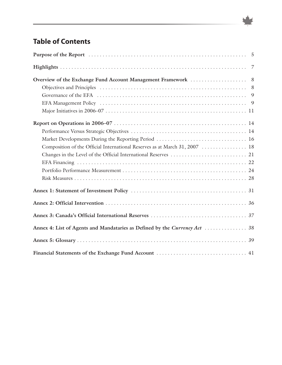## **Table of Contents**

| Composition of the Official International Reserves as at March 31, 2007  18 |  |
|-----------------------------------------------------------------------------|--|
|                                                                             |  |
|                                                                             |  |
|                                                                             |  |
|                                                                             |  |
|                                                                             |  |
|                                                                             |  |
|                                                                             |  |
|                                                                             |  |
|                                                                             |  |
|                                                                             |  |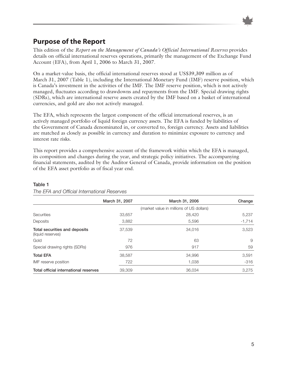

### **Purpose of the Report**

This edition of the *Report on the Management of Canada's Official International Reserves* provides details on official international reserves operations, primarily the management of the Exchange Fund Account (EFA), from April 1, 2006 to March 31, 2007.

On a market-value basis, the official international reserves stood at US\$39,309 million as of March 31, 2007 (Table 1), including the International Monetary Fund (IMF) reserve position, which is Canada's investment in the activities of the IMF. The IMF reserve position, which is not actively managed, fluctuates according to drawdowns and repayments from the IMF. Special drawing rights (SDRs), which are international reserve assets created by the IMF based on a basket of international currencies, and gold are also not actively managed.

The EFA, which represents the largest component of the official international reserves, is an actively managed portfolio of liquid foreign currency assets. The EFA is funded by liabilities of the Government of Canada denominated in, or converted to, foreign currency. Assets and liabilities are matched as closely as possible in currency and duration to minimize exposure to currency and interest rate risks.

This report provides a comprehensive account of the framework within which the EFA is managed, its composition and changes during the year, and strategic policy initiatives. The accompanying financial statements, audited by the Auditor General of Canada, provide information on the position of the EFA asset portfolio as of fiscal year end.

|                                                    | March 31, 2007 | March 31, 2006                           | Change   |
|----------------------------------------------------|----------------|------------------------------------------|----------|
|                                                    |                | (market value in millions of US dollars) |          |
| Securities                                         | 33,657         | 28,420                                   | 5,237    |
| Deposits                                           | 3,882          | 5,596                                    | $-1,714$ |
| Total securities and deposits<br>(liquid reserves) | 37,539         | 34.016                                   | 3,523    |
| Gold                                               | 72             | 63                                       | 9        |
| Special drawing rights (SDRs)                      | 976            | 917                                      | 59       |
| <b>Total EFA</b>                                   | 38,587         | 34.996                                   | 3,591    |
| IMF reserve position                               | 722            | 1,038                                    | $-316$   |
| Total official international reserves              | 39,309         | 36.034                                   | 3.275    |

#### **Table 1**

*The EFA and Official International Reserves*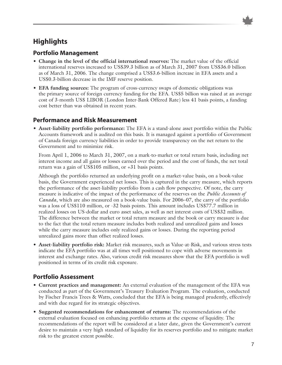### **Highlights**

### **Portfolio Management**

- **Change in the level of the official international reserves:** The market value of the official international reserves increased to US\$39.3 billion as of March 31, 2007 from US\$36.0 billion as of March 31, 2006. The change comprised a US\$3.6-billion increase in EFA assets and a US\$0.3-billion decrease in the IMF reserve position.
- **EFA funding sources:** The program of cross-currency swaps of domestic obligations was the primary source of foreign currency funding for the EFA. US\$5 billion was raised at an average cost of 3-month US\$ LIBOR (London Inter-Bank Offered Rate) less 41 basis points, a funding cost better than was obtained in recent years.

### **Performance and Risk Measurement**

• **Asset-liability portfolio performance:** The EFA is a stand-alone asset portfolio within the Public Accounts framework and is audited on this basis. It is managed against a portfolio of Government of Canada foreign currency liabilities in order to provide transparency on the net return to the Government and to minimize risk.

From April 1, 2006 to March 31, 2007, on a mark-to-market or total return basis, including net interest income and all gains or losses earned over the period and the cost of funds, the net total return was a gain of US\$105 million, or +31 basis points.

Although the portfolio returned an underlying profit on a market-value basis, on a book-value basis, the Government experienced net losses. This is captured in the carry measure, which reports the performance of the asset-liability portfolio from a cash flow perspective. Of note, the carry measure is indicative of the impact of the performance of the reserves on the *Public Accounts of Canada*, which are also measured on a book-value basis. For 2006–07, the carry of the portfolio was a loss of US\$110 million, or -32 basis points. This amount includes US\$77.7 million in realized losses on US-dollar and euro asset sales, as well as net interest costs of US\$32 million. The difference between the market or total return measure and the book or carry measure is due to the fact that the total return measure includes both realized and unrealized gains and losses while the carry measure includes only realized gains or losses. During the reporting period unrealized gains more than offset realized losses.

• **Asset-liability portfolio risk:** Market risk measures, such as Value-at-Risk, and various stress tests indicate the EFA portfolio was at all times well positioned to cope with adverse movements in interest and exchange rates. Also, various credit risk measures show that the EFA portfolio is well positioned in terms of its credit risk exposure.

### **Portfolio Assessment**

- **Current practices and management:** An external evaluation of the management of the EFA was conducted as part of the Government's Treasury Evaluation Program. The evaluation, conducted by Fischer Francis Trees & Watts, concluded that the EFA is being managed prudently, effectively and with due regard for its strategic objectives.
- **Suggested recommendations for enhancement of returns:** The recommendations of the external evaluation focused on enhancing portfolio returns at the expense of liquidity. The recommendations of the report will be considered at a later date, given the Government's current desire to maintain a very high standard of liquidity for its reserves portfolio and to mitigate market risk to the greatest extent possible.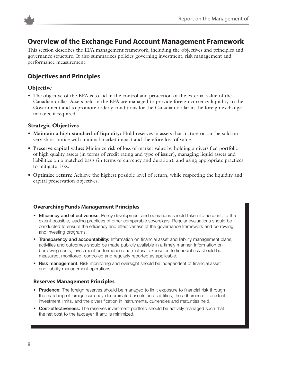

### **Overview of the Exchange Fund Account Management Framework**

This section describes the EFA management framework, including the objectives and principles and governance structure. It also summarizes policies governing investment, risk management and performance measurement.

### **Objectives and Principles**

### **Objective**

• The objective of the EFA is to aid in the control and protection of the external value of the Canadian dollar. Assets held in the EFA are managed to provide foreign currency liquidity to the Government and to promote orderly conditions for the Canadian dollar in the foreign exchange markets, if required.

### **Strategic Objectives**

- **Maintain a high standard of liquidity:** Hold reserves in assets that mature or can be sold on very short notice with minimal market impact and therefore loss of value.
- **Preserve capital value:** Minimize risk of loss of market value by holding a diversified portfolio of high quality assets (in terms of credit rating and type of issuer), managing liquid assets and liabilities on a matched basis (in terms of currency and duration), and using appropriate practices to mitigate risks.
- **Optimize return:** Achieve the highest possible level of return, while respecting the liquidity and capital preservation objectives.

### **Overarching Funds Management Principles**

- **Efficiency and effectiveness:** Policy development and operations should take into account, to the extent possible, leading practices of other comparable sovereigns. Regular evaluations should be conducted to ensure the efficiency and effectiveness of the governance framework and borrowing and investing programs.
- **Transparency and accountability:** Information on financial asset and liability management plans, activities and outcomes should be made publicly available in a timely manner. Information on borrowing costs, investment performance and material exposures to financial risk should be measured, monitored, controlled and regularly reported as applicable.
- **Risk management:** Risk monitoring and oversight should be independent of financial asset and liability management operations.

### **Reserves Management Principles**

- **Prudence:** The foreign reserves should be managed to limit exposure to financial risk through the matching of foreign-currency-denominated assets and liabilities, the adherence to prudent investment limits, and the diversification in instruments, currencies and maturities held.
- **Cost-effectiveness:** The reserves investment portfolio should be actively managed such that the net cost to the taxpayer, if any, is minimized.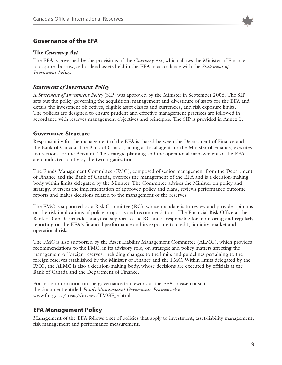

### **Governance of the EFA**

### **The** *Currency Act*

The EFA is governed by the provisions of the *Currency Act*, which allows the Minister of Finance to acquire, borrow, sell or lend assets held in the EFA in accordance with the *Statement of Investment Policy*.

### *Statement of Investment Policy*

A *Statement of Investment Policy* (SIP) was approved by the Minister in September 2006. The SIP sets out the policy governing the acquisition, management and divestiture of assets for the EFA and details the investment objectives, eligible asset classes and currencies, and risk exposure limits. The policies are designed to ensure prudent and effective management practices are followed in accordance with reserves management objectives and principles. The SIP is provided in Annex 1.

#### **Governance Structure**

Responsibility for the management of the EFA is shared between the Department of Finance and the Bank of Canada. The Bank of Canada, acting as fiscal agent for the Minister of Finance, executes transactions for the Account. The strategic planning and the operational management of the EFA are conducted jointly by the two organizations.

The Funds Management Committee (FMC), composed of senior management from the Department of Finance and the Bank of Canada, oversees the management of the EFA and is a decision-making body within limits delegated by the Minister. The Committee advises the Minister on policy and strategy, oversees the implementation of approved policy and plans, reviews performance outcome reports and makes decisions related to the management of the reserves.

The FMC is supported by a Risk Committee (RC), whose mandate is to review and provide opinions on the risk implications of policy proposals and recommendations. The Financial Risk Office at the Bank of Canada provides analytical support to the RC and is responsible for monitoring and regularly reporting on the EFA's financial performance and its exposure to credit, liquidity, market and operational risks.

The FMC is also supported by the Asset Liability Management Committee (ALMC), which provides recommendations to the FMC, in its advisory role, on strategic and policy matters affecting the management of foreign reserves, including changes to the limits and guidelines pertaining to the foreign reserves established by the Minister of Finance and the FMC. Within limits delegated by the FMC, the ALMC is also a decision-making body, whose decisions are executed by officials at the Bank of Canada and the Department of Finance.

For more information on the governance framework of the EFA, please consult the document entitled *Funds Management Governance Framework* at www.fin.gc.ca/treas/Goveev/TMGF\_e.html.

### **EFA Management Policy**

Management of the EFA follows a set of policies that apply to investment, asset-liability management, risk management and performance measurement.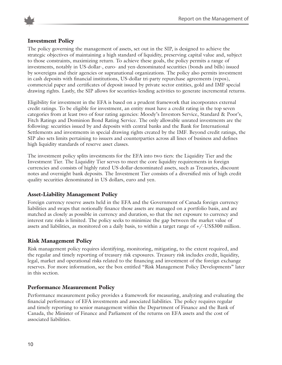

### **Investment Policy**

The policy governing the management of assets, set out in the SIP, is designed to achieve the strategic objectives of maintaining a high standard of liquidity, preserving capital value and, subject to those constraints, maximizing return. To achieve these goals, the policy permits a range of investments, notably in US-dollar-, euro- and yen-denominated securities (bonds and bills) issued by sovereigns and their agencies or supranational organizations. The policy also permits investment in cash deposits with financial institutions, US-dollar tri-party repurchase agreements (repos), commercial paper and certificates of deposit issued by private sector entities, gold and IMF special drawing rights. Lastly, the SIP allows for securities-lending activities to generate incremental returns.

Eligibility for investment in the EFA is based on a prudent framework that incorporates external credit ratings. To be eligible for investment, an entity must have a credit rating in the top seven categories from at least two of four rating agencies: Moody's Investors Service, Standard & Poor's, Fitch Ratings and Dominion Bond Rating Service. The only allowable unrated investments are the following: securities issued by and deposits with central banks and the Bank for International Settlements and investments in special drawing rights created by the IMF. Beyond credit ratings, the SIP also sets limits pertaining to issuers and counterparties across all lines of business and defines high liquidity standards of reserve asset classes.

The investment policy splits investments for the EFA into two tiers: the Liquidity Tier and the Investment Tier. The Liquidity Tier serves to meet the core liquidity requirements in foreign currencies and consists of highly rated US-dollar-denominated assets, such as Treasuries, discount notes and overnight bank deposits. The Investment Tier consists of a diversified mix of high credit quality securities denominated in US dollars, euro and yen.

#### **Asset-Liability Management Policy**

Foreign currency reserve assets held in the EFA and the Government of Canada foreign currency liabilities and swaps that notionally finance those assets are managed on a portfolio basis, and are matched as closely as possible in currency and duration, so that the net exposure to currency and interest rate risks is limited. The policy seeks to minimize the gap between the market value of assets and liabilities, as monitored on a daily basis, to within a target range of +/-US\$300 million.

#### **Risk Management Policy**

Risk management policy requires identifying, monitoring, mitigating, to the extent required, and the regular and timely reporting of treasury risk exposures. Treasury risk includes credit, liquidity, legal, market and operational risks related to the financing and investment of the foreign exchange reserves. For more information, see the box entitled "Risk Management Policy Developments" later in this section.

#### **Performance Measurement Policy**

Performance measurement policy provides a framework for measuring, analyzing and evaluating the financial performance of EFA investments and associated liabilities. The policy requires regular and timely reporting to senior management within the Department of Finance and the Bank of Canada, the Minister of Finance and Parliament of the returns on EFA assets and the cost of associated liabilities.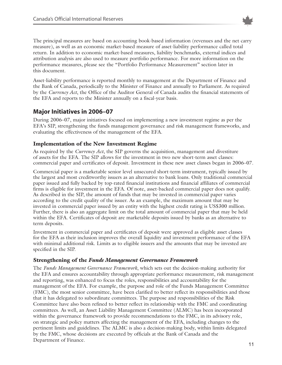

The principal measures are based on accounting book-based information (revenues and the net carry measure), as well as an economic market-based measure of asset-liability performance called total return. In addition to economic market-based measures, liability benchmarks, external indices and attribution analysis are also used to measure portfolio performance. For more information on the performance measures, please see the "Portfolio Performance Measurement" section later in this document.

Asset-liability performance is reported monthly to management at the Department of Finance and the Bank of Canada, periodically to the Minister of Finance and annually to Parliament. As required by the *Currency Act*, the Office of the Auditor General of Canada audits the financial statements of the EFA and reports to the Minister annually on a fiscal-year basis.

### **Major Initiatives in 2006–07**

During 2006–07, major initiatives focused on implementing a new investment regime as per the EFA's SIP, strengthening the funds management governance and risk management frameworks, and evaluating the effectiveness of the management of the EFA.

### **Implementation of the New Investment Regime**

As required by the *Currency Act*, the SIP governs the acquisition, management and divestiture of assets for the EFA. The SIP allows for the investment in two new short-term asset classes: commercial paper and certificates of deposit. Investment in these new asset classes began in 2006–07.

Commercial paper is a marketable senior level unsecured short-term instrument, typically issued by the largest and most creditworthy issuers as an alternative to bank loans. Only traditional commercial paper issued and fully backed by top-rated financial institutions and financial affiliates of commercial firms is eligible for investment in the EFA. Of note, asset-backed commercial paper does not qualify. As described in the SIP, the amount of funds that may be invested in commercial paper varies according to the credit quality of the issuer. As an example, the maximum amount that may be invested in commercial paper issued by an entity with the highest credit rating is US\$300 million. Further, there is also an aggregate limit on the total amount of commercial paper that may be held within the EFA. Certificates of deposit are marketable deposits issued by banks as an alternative to term deposits.

Investment in commercial paper and certificates of deposit were approved as eligible asset classes for the EFA as their inclusion improves the overall liquidity and investment performance of the EFA with minimal additional risk. Limits as to eligible issuers and the amounts that may be invested are specified in the SIP.

### **Strengthening of the** *Funds Management Governance Framework*

The *Funds Management Governance Framework*, which sets out the decision-making authority for the EFA and ensures accountability through appropriate performance measurement, risk management and reporting, was enhanced to focus the roles, responsibilities and accountability for the management of the EFA. For example, the purpose and role of the Funds Management Committee (FMC), the most senior committee, have been clarified to better reflect its responsibilities and those that it has delegated to subordinate committees. The purpose and responsibilities of the Risk Committee have also been refined to better reflect its relationship with the FMC and coordinating committees. As well, an Asset Liability Management Committee (ALMC) has been incorporated within the governance framework to provide recommendations to the FMC, in its advisory role, on strategic and policy matters affecting the management of the EFA, including changes to the pertinent limits and guidelines. The ALMC is also a decision-making body, within limits delegated by the FMC, whose decisions are executed by officials at the Bank of Canada and the Department of Finance.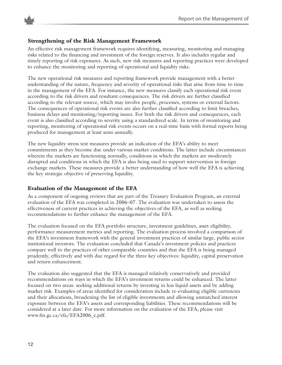



#### **Strengthening of the Risk Management Framework**

An effective risk management framework requires identifying, measuring, monitoring and managing risks related to the financing and investment of the foreign reserves. It also includes regular and timely reporting of risk exposures. As such, new risk measures and reporting practices were developed to enhance the monitoring and reporting of operational and liquidity risks.

The new operational risk measures and reporting framework provide management with a better understanding of the nature, frequency and severity of operational risks that arise from time to time in the management of the EFA. For instance, the new measures classify each operational risk event according to the risk drivers and resultant consequences. The risk drivers are further classified according to the relevant source, which may involve people, processes, systems or external factors. The consequences of operational risk events are also further classified according to limit breaches, business delays and monitoring/reporting issues. For both the risk drivers and consequences, each event is also classified according to severity using a standardized scale. In terms of monitoring and reporting, monitoring of operational risk events occurs on a real-time basis with formal reports being produced for management at least semi-annually.

The new liquidity stress test measures provide an indication of the EFA's ability to meet commitments as they become due under various market conditions. The latter include circumstances wherein the markets are functioning normally, conditions in which the markets are moderately disrupted and conditions in which the EFA is also being used to support intervention in foreign exchange markets. These measures provide a better understanding of how well the EFA is achieving the key strategic objective of preserving liquidity.

### **Evaluation of the Management of the EFA**

As a component of ongoing reviews that are part of the Treasury Evaluation Program, an external evaluation of the EFA was completed in 2006–07. The evaluation was undertaken to assess the effectiveness of current practices in achieving the objectives of the EFA, as well as seeking recommendations to further enhance the management of the EFA.

The evaluation focused on the EFA portfolio structure, investment guidelines, asset eligibility, performance measurement metrics and reporting. The evaluation process involved a comparison of the EFA's investment framework with the general investment practices of similar large, public sector institutional investors. The evaluation concluded that Canada's investment policies and practices compare well to the practices of other comparable countries and that the EFA is being managed prudently, effectively and with due regard for the three key objectives: liquidity, capital preservation and return enhancement.

The evaluation also suggested that the EFA is managed relatively conservatively and provided recommendations on ways in which the EFA's investment returns could be enhanced. The latter focused on two areas: seeking additional returns by investing in less liquid assets and by adding market risk. Examples of areas identified for consideration include re-evaluating eligible currencies and their allocations, broadening the list of eligible investments and allowing unmatched interest exposure between the EFA's assets and corresponding liabilities. These recommendations will be considered at a later date. For more information on the evaluation of the EFA, please visit www.fin.gc.ca/efa/EFA2006\_e.pdf.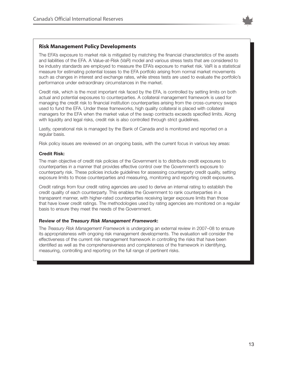

#### **Risk Management Policy Developments**

The EFA's exposure to market risk is mitigated by matching the financial characteristics of the assets and liabilities of the EFA. A Value-at-Risk (VaR) model and various stress tests that are considered to be industry standards are employed to measure the EFA's exposure to market risk. VaR is a statistical measure for estimating potential losses to the EFA portfolio arising from normal market movements such as changes in interest and exchange rates, while stress tests are used to evaluate the portfolio's performance under extraordinary circumstances in the market.

Credit risk, which is the most important risk faced by the EFA, is controlled by setting limits on both actual and potential exposures to counterparties. A collateral management framework is used for managing the credit risk to financial institution counterparties arising from the cross-currency swaps used to fund the EFA. Under these frameworks, high quality collateral is placed with collateral managers for the EFA when the market value of the swap contracts exceeds specified limits. Along with liquidity and legal risks, credit risk is also controlled through strict guidelines.

Lastly, operational risk is managed by the Bank of Canada and is monitored and reported on a regular basis.

Risk policy issues are reviewed on an ongoing basis, with the current focus in various key areas:

#### **Credit Risk:**

The main objective of credit risk policies of the Government is to distribute credit exposures to counterparties in a manner that provides effective control over the Government's exposure to counterparty risk. These policies include guidelines for assessing counterparty credit quality, setting exposure limits to those counterparties and measuring, monitoring and reporting credit exposures.

Credit ratings from four credit rating agencies are used to derive an internal rating to establish the credit quality of each counterparty. This enables the Government to rank counterparties in a transparent manner, with higher-rated counterparties receiving larger exposure limits than those that have lower credit ratings. The methodologies used by rating agencies are monitored on a regular basis to ensure they meet the needs of the Government.

#### **Review of the** *Treasury Risk Management Framework***:**

The *Treasury Risk Management Framework* is undergoing an external review in 2007–08 to ensure its appropriateness with ongoing risk management developments. The evaluation will consider the effectiveness of the current risk management framework in controlling the risks that have been identified as well as the comprehensiveness and completeness of the framework in identifying, measuring, controlling and reporting on the full range of pertinent risks.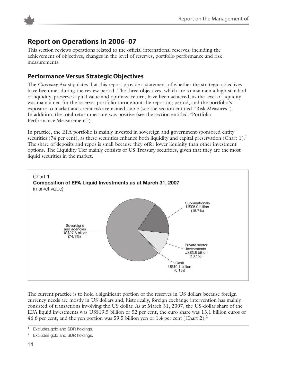

### **Report on Operations in 2006–07**

This section reviews operations related to the official international reserves, including the achievement of objectives, changes in the level of reserves, portfolio performance and risk measurements.

### **Performance Versus Strategic Objectives**

The *Currency Act* stipulates that this report provide a statement of whether the strategic objectives have been met during the review period. The three objectives, which are to maintain a high standard of liquidity, preserve capital value and optimize return, have been achieved, as the level of liquidity was maintained for the reserves portfolio throughout the reporting period, and the portfolio's exposure to market and credit risks remained stable (see the section entitled "Risk Measures"). In addition, the total return measure was positive (see the section entitled "Portfolio Performance Measurement").

In practice, the EFA portfolio is mainly invested in sovereign and government-sponsored entity securities (74 per cent), as these securities enhance both liquidity and capital preservation (Chart 1).<sup>1</sup> The share of deposits and repos is small because they offer lower liquidity than other investment options. The Liquidity Tier mainly consists of US Treasury securities, given that they are the most liquid securities in the market.



The current practice is to hold a significant portion of the reserves in US dollars because foreign currency needs are mostly in US dollars and, historically, foreign exchange intervention has mainly consisted of transactions involving the US dollar. As at March 31, 2007, the US-dollar share of the EFA liquid investments was US\$19.5 billion or 52 per cent, the euro share was 13.1 billion euros or 46.6 per cent, and the yen portion was 59.5 billion yen or 1.4 per cent (Chart 2).<sup>2</sup>

<sup>&</sup>lt;sup>1</sup> Excludes gold and SDR holdings.

<sup>&</sup>lt;sup>2</sup> Excludes gold and SDR holdings.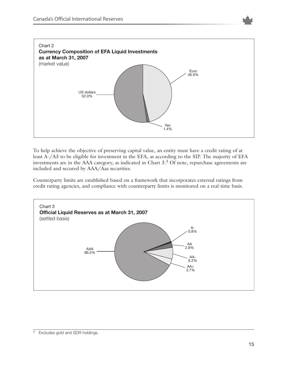



To help achieve the objective of preserving capital value, an entity must have a credit rating of at least A-/A3 to be eligible for investment in the EFA, as according to the SIP. The majority of EFA investments are in the AAA category, as indicated in Chart 3.3 Of note, repurchase agreements are included and secured by AAA/Aaa securities.

Counterparty limits are established based on a framework that incorporates external ratings from credit rating agencies, and compliance with counterparty limits is monitored on a real-time basis.

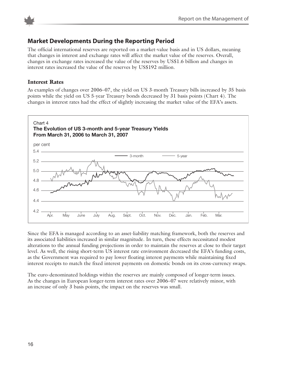



### **Market Developments During the Reporting Period**

The official international reserves are reported on a market-value basis and in US dollars, meaning that changes in interest and exchange rates will affect the market value of the reserves. Overall, changes in exchange rates increased the value of the reserves by US\$1.6 billion and changes in interest rates increased the value of the reserves by US\$192 million.

#### **Interest Rates**

As examples of changes over 2006–07, the yield on US 3-month Treasury bills increased by 35 basis points while the yield on US 5-year Treasury bonds decreased by 31 basis points (Chart 4). The changes in interest rates had the effect of slightly increasing the market value of the EFA's assets.



Since the EFA is managed according to an asset-liability matching framework, both the reserves and its associated liabilities increased in similar magnitude. In turn, these effects necessitated modest alterations to the annual funding projections in order to maintain the reserves at close to their target level. As well, the rising short-term US interest rate environment decreased the EFA's funding costs, as the Government was required to pay lower floating interest payments while maintaining fixed interest receipts to match the fixed interest payments on domestic bonds on its cross-currency swaps.

The euro-denominated holdings within the reserves are mainly composed of longer-term issues. As the changes in European longer-term interest rates over 2006–07 were relatively minor, with an increase of only 3 basis points, the impact on the reserves was small.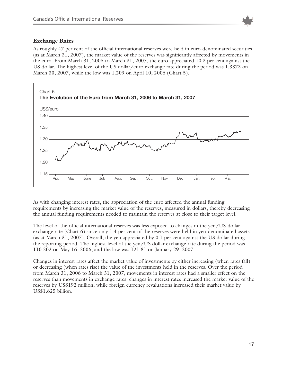

### **Exchange Rates**

As roughly 47 per cent of the official international reserves were held in euro-denominated securities (as at March 31, 2007), the market value of the reserves was significantly affected by movements in the euro. From March 31, 2006 to March 31, 2007, the euro appreciated 10.3 per cent against the US dollar. The highest level of the US dollar/euro exchange rate during the period was 1.3373 on March 30, 2007, while the low was 1.209 on April 10, 2006 (Chart 5).



As with changing interest rates, the appreciation of the euro affected the annual funding requirements by increasing the market value of the reserves, measured in dollars, thereby decreasing the annual funding requirements needed to maintain the reserves at close to their target level.

The level of the official international reserves was less exposed to changes in the yen/US-dollar exchange rate (Chart 6) since only 1.4 per cent of the reserves were held in yen-denominated assets (as at March 31, 2007). Overall, the yen appreciated by 0.1 per cent against the US dollar during the reporting period. The highest level of the yen/US dollar exchange rate during the period was 110.202 on May 16, 2006, and the low was 121.81 on January 29, 2007.

Changes in interest rates affect the market value of investments by either increasing (when rates fall) or decreasing (when rates rise) the value of the investments held in the reserves. Over the period from March 31, 2006 to March 31, 2007, movements in interest rates had a smaller effect on the reserves than movements in exchange rates: changes in interest rates increased the market value of the reserves by US\$192 million, while foreign currency revaluations increased their market value by US\$1.625 billion.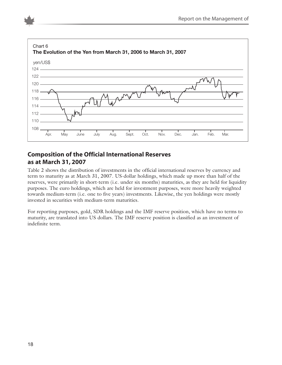

### **Composition of the Official International Reserves as at March 31, 2007**

Table 2 shows the distribution of investments in the official international reserves by currency and term to maturity as at March 31, 2007. US-dollar holdings, which made up more than half of the reserves, were primarily in short-term (i.e. under six months) maturities, as they are held for liquidity purposes. The euro holdings, which are held for investment purposes, were more heavily weighted towards medium-term (i.e. one to five years) investments. Likewise, the yen holdings were mostly invested in securities with medium-term maturities.

For reporting purposes, gold, SDR holdings and the IMF reserve position, which have no terms to maturity, are translated into US dollars. The IMF reserve position is classified as an investment of indefinite term.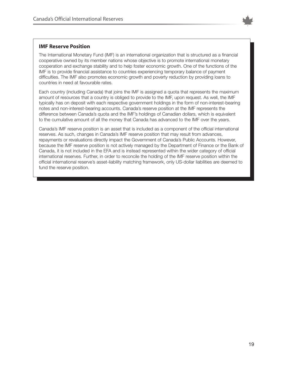

#### **IMF Reserve Position**

The International Monetary Fund (IMF) is an international organization that is structured as a financial cooperative owned by its member nations whose objective is to promote international monetary cooperation and exchange stability and to help foster economic growth. One of the functions of the IMF is to provide financial assistance to countries experiencing temporary balance of payment difficulties. The IMF also promotes economic growth and poverty reduction by providing loans to countries in need at favourable rates.

Each country (including Canada) that joins the IMF is assigned a quota that represents the maximum amount of resources that a country is obliged to provide to the IMF, upon request. As well, the IMF typically has on deposit with each respective government holdings in the form of non-interest-bearing notes and non-interest-bearing accounts. Canada's reserve position at the IMF represents the difference between Canada's quota and the IMF's holdings of Canadian dollars, which is equivalent to the cumulative amount of all the money that Canada has advanced to the IMF over the years.

Canada's IMF reserve position is an asset that is included as a component of the official international reserves. As such, changes in Canada's IMF reserve position that may result from advances, repayments or revaluations directly impact the Government of Canada's Public Accounts. However, because the IMF reserve position is not actively managed by the Department of Finance or the Bank of Canada, it is not included in the EFA and is instead represented within the wider category of official international reserves. Further, in order to reconcile the holding of the IMF reserve position within the official international reserve's asset-liability matching framework, only US-dollar liabilities are deemed to fund the reserve position.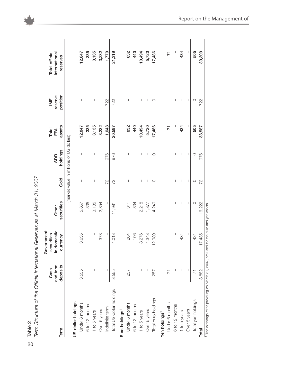|                            | Cash                 | Government<br>securities |                     |              |                                          | Total         | $\geq$              | Total official            |
|----------------------------|----------------------|--------------------------|---------------------|--------------|------------------------------------------|---------------|---------------------|---------------------------|
| Term                       | and term<br>deposits | in domestic<br>currency  | securities<br>Other | Gold         | holdings<br><b>SDR</b>                   | assets<br>EFA | position<br>reserve | international<br>reserves |
|                            |                      |                          |                     |              | (market value in millions of US dollars) |               |                     |                           |
| US-dollar holdings         |                      |                          |                     |              |                                          |               |                     |                           |
| Under 6 months             | 3,555                | 3,635                    | 5,657               |              | I                                        | 12,847        |                     | 12,847                    |
| 6 to 12 months             |                      | п                        | 335                 |              | I                                        | 335           | Т                   | 335                       |
| 1 to 5 years               |                      | I                        | 3,135               |              | J.                                       | 3,135         | I                   | 3,135                     |
| Over 5 years               | T                    | 378                      | 2,854               | T            | I                                        | 3,232         | I                   | 3,232                     |
| Indefinite term            | J                    | T                        |                     | 72           | 976                                      | 1,048         | 722                 | 1,770                     |
| Total US-dollar holdings   | 3,555                | 4,013                    | 11,981              | 22           | 976                                      | 20,597        | 722                 | 21,319                    |
| Euro holdings <sup>1</sup> |                      |                          |                     |              |                                          |               |                     |                           |
| Under 6 months             | 257                  | 264                      | $\frac{1}{3}$       |              | I                                        | 832           |                     | 832                       |
| 6 to 12 months             |                      | 106                      | 334                 |              | T                                        | 440           | I                   | 440                       |
| 1 to 5 years               | I                    | 8,276                    | 2,218               | I            | I                                        | 10,494        | I                   | 10,494                    |
| Over 5 years               | J.                   | 4,343                    | 1,377               | T            | $\mathbf{I}$                             | 5,720         | $\mathbf{I}$        | 5,720                     |
| Total euro holdings        | 257                  | 12,989                   | 4,240               | $\circ$      | $\circ$                                  | 17,486        | $\circ$             | 17,486                    |
| Yen holdings <sup>1</sup>  |                      |                          |                     |              |                                          |               |                     |                           |
| Under 6 months             | $\overline{7}$       | I                        |                     |              | I                                        | 71            | ı                   | 71                        |
| 6 to 12 months             |                      | $\overline{\phantom{a}}$ |                     |              | $\overline{\phantom{a}}$                 |               | T                   |                           |
| 1 to 5 years               |                      | 434                      | I                   | I            | I                                        | 434           | I                   | 434                       |
| Over 5 years               |                      | $\mathsf{I}$             | $\mathbf{I}$        | $\mathbf{I}$ | $\mathbf{I}$                             | $\mathbf{I}$  | $\mathbf{I}$        | $\mathbf{I}$              |
| Total yen holdings         | $\overline{7}$       | 434                      | $\circ$             | $\circ$      | $\circ$                                  | 505           | $\circ$             | 505                       |
| Total                      | 3,882                | 17,435                   | 16,222              | 22           | 976                                      | 38,587        | 722                 | 39,309                    |

20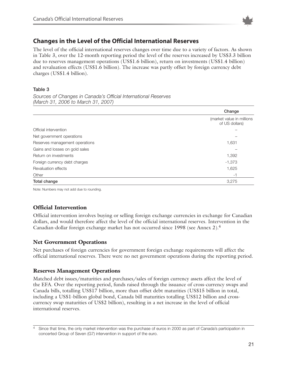

### **Changes in the Level of the Official International Reserves**

The level of the official international reserves changes over time due to a variety of factors. As shown in Table 3, over the 12-month reporting period the level of the reserves increased by US\$3.3 billion due to reserves management operations (US\$1.6 billion), return on investments (US\$1.4 billion) and revaluation effects (US\$1.6 billion). The increase was partly offset by foreign currency debt charges (US\$1.4 billion).

#### **Table 3**

*Sources of Changes in Canada's Official International Reserves (March 31, 2006 to March 31, 2007)*

|                                | Change                                      |
|--------------------------------|---------------------------------------------|
|                                | (market value in millions<br>of US dollars) |
| Official intervention          |                                             |
| Net government operations      |                                             |
| Reserves management operations | 1,631                                       |
| Gains and losses on gold sales |                                             |
| Return on investments          | 1,392                                       |
| Foreign currency debt charges  | $-1,373$                                    |
| Revaluation effects            | 1,625                                       |
| Other                          | -1                                          |
| Total change                   | 3,275                                       |

Note: Numbers may not add due to rounding.

### **Official Intervention**

Official intervention involves buying or selling foreign exchange currencies in exchange for Canadian dollars, and would therefore affect the level of the official international reserves. Intervention in the Canadian-dollar foreign exchange market has not occurred since 1998 (see Annex 2).4

### **Net Government Operations**

Net purchases of foreign currencies for government foreign exchange requirements will affect the official international reserves. There were no net government operations during the reporting period.

### **Reserves Management Operations**

Matched debt issues/maturities and purchases/sales of foreign currency assets affect the level of the EFA. Over the reporting period, funds raised through the issuance of cross-currency swaps and Canada bills, totalling US\$17 billion, more than offset debt maturities (US\$15 billion in total, including a US\$1-billion global bond, Canada bill maturities totalling US\$12 billion and crosscurrency swap maturities of US\$2 billion), resulting in a net increase in the level of official international reserves.

<sup>&</sup>lt;sup>4</sup> Since that time, the only market intervention was the purchase of euros in 2000 as part of Canada's participation in concerted Group of Seven (G7) intervention in support of the euro.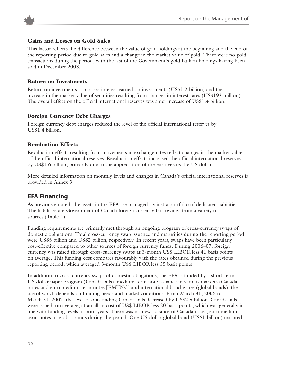

### **Gains and Losses on Gold Sales**

This factor reflects the difference between the value of gold holdings at the beginning and the end of the reporting period due to gold sales and a change in the market value of gold. There were no gold transactions during the period, with the last of the Government's gold bullion holdings having been sold in December 2003.

#### **Return on Investments**

Return on investments comprises interest earned on investments (US\$1.2 billion) and the increase in the market value of securities resulting from changes in interest rates (US\$192 million). The overall effect on the official international reserves was a net increase of US\$1.4 billion.

### **Foreign Currency Debt Charges**

Foreign currency debt charges reduced the level of the official international reserves by US\$1.4 billion.

#### **Revaluation Effects**

Revaluation effects resulting from movements in exchange rates reflect changes in the market value of the official international reserves. Revaluation effects increased the official international reserves by US\$1.6 billion, primarily due to the appreciation of the euro versus the US dollar.

More detailed information on monthly levels and changes in Canada's official international reserves is provided in Annex 3.

### **EFA Financing**

As previously noted, the assets in the EFA are managed against a portfolio of dedicated liabilities. The liabilities are Government of Canada foreign currency borrowings from a variety of sources (Table 4).

Funding requirements are primarily met through an ongoing program of cross-currency swaps of domestic obligations. Total cross-currency swap issuance and maturities during the reporting period were US\$5 billion and US\$2 billion, respectively. In recent years, swaps have been particularly cost-effective compared to other sources of foreign currency funds. During 2006–07, foreign currency was raised through cross-currency swaps at 3-month US\$ LIBOR less 41 basis points on average. This funding cost compares favourably with the rates obtained during the previous reporting period, which averaged 3-month US\$ LIBOR less 35 basis points.

In addition to cross-currency swaps of domestic obligations, the EFA is funded by a short-term US-dollar paper program (Canada bills), medium-term note issuance in various markets (Canada notes and euro medium-term notes [EMTNs]) and international bond issues (global bonds), the use of which depends on funding needs and market conditions. From March 31, 2006 to March 31, 2007, the level of outstanding Canada bills decreased by US\$2.5 billion. Canada bills were issued, on average, at an all-in cost of US\$ LIBOR less 20 basis points, which was generally in line with funding levels of prior years. There was no new issuance of Canada notes, euro mediumterm notes or global bonds during the period. One US-dollar global bond (US\$1 billion) matured.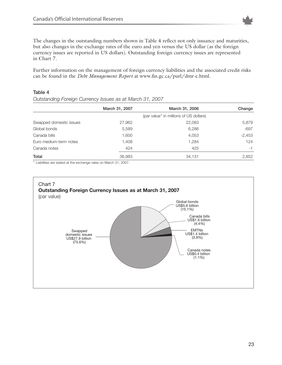

The changes in the outstanding numbers shown in Table 4 reflect not only issuance and maturities, but also changes in the exchange rates of the euro and yen versus the US dollar (as the foreign currency issues are reported in US dollars). Outstanding foreign currency issues are represented in Chart 7.

Further information on the management of foreign currency liabilities and the associated credit risks can be found in the *Debt Management Report* at www.fin.gc.ca/purl/dmr-e.html.

#### **Table 4**

*Outstanding Foreign Currency Issues as at March 31, 2007*

|                         | March 31, 2007 | March 31, 2006                                     | Change   |
|-------------------------|----------------|----------------------------------------------------|----------|
|                         |                | (par value <sup>1</sup> in millions of US dollars) |          |
| Swapped domestic issues | 27,962         | 22,083                                             | 5,879    |
| Global bonds            | 5,589          | 6,286                                              | -697     |
| Canada bills            | 1,600          | 4,053                                              | $-2,453$ |
| Euro medium-term notes  | 1,408          | 1,284                                              | 124      |
| Canada notes            | 424            | 425                                                | $-1$     |
| Total                   | 36,983         | 34,131                                             | 2,852    |

<sup>1</sup> Liabilities are stated at the exchange rates on March 31, 2007.

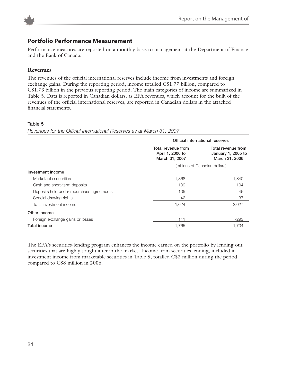

### **Portfolio Performance Measurement**

Performance measures are reported on a monthly basis to management at the Department of Finance and the Bank of Canada.

### **Revenues**

The revenues of the official international reserves include income from investments and foreign exchange gains. During the reporting period, income totalled C\$1.77 billion, compared to C\$1.73 billion in the previous reporting period. The main categories of income are summarized in Table 5. Data is reported in Canadian dollars, as EFA revenues, which account for the bulk of the revenues of the official international reserves, are reported in Canadian dollars in the attached financial statements.

#### **Table 5**

*Revenues for the Official International Reserves as at March 31, 2007*

|                                           | Official international reserves                          |                                                            |  |
|-------------------------------------------|----------------------------------------------------------|------------------------------------------------------------|--|
|                                           | Total revenue from<br>April 1, 2006 to<br>March 31, 2007 | Total revenue from<br>January 1, 2005 to<br>March 31, 2006 |  |
|                                           |                                                          | (millions of Canadian dollars)                             |  |
| Investment income                         |                                                          |                                                            |  |
| Marketable securities                     | 1,368                                                    | 1,840                                                      |  |
| Cash and short-term deposits              | 109                                                      | 104                                                        |  |
| Deposits held under repurchase agreements | 105                                                      | 46                                                         |  |
| Special drawing rights                    | 42                                                       | 37                                                         |  |
| Total investment income                   | 1,624                                                    | 2,027                                                      |  |
| Other income                              |                                                          |                                                            |  |
| Foreign exchange gains or losses          | 141                                                      | $-293$                                                     |  |
| Total income                              | 1,765                                                    | 1.734                                                      |  |

The EFA's securities-lending program enhances the income earned on the portfolio by lending out securities that are highly sought after in the market. Income from securities lending, included in investment income from marketable securities in Table 5, totalled C\$3 million during the period compared to C\$8 million in 2006.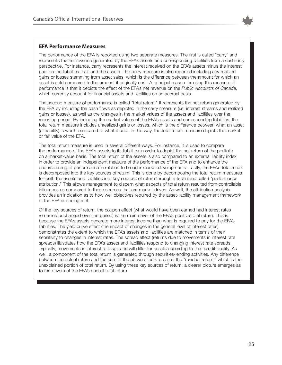

#### **EFA Performance Measures**

The performance of the EFA is reported using two separate measures. The first is called "carry" and represents the net revenue generated by the EFA's assets and corresponding liabilities from a cash-only perspective. For instance, carry represents the interest received on the EFA's assets minus the interest paid on the liabilities that fund the assets. The carry measure is also reported including any realized gains or losses stemming from asset sales, which is the difference between the amount for which an asset is sold compared to the amount it originally cost. A principal reason for using this measure of performance is that it depicts the effect of the EFA's net revenue on the *Public Accounts of Canada*, which currently account for financial assets and liabilities on an accrual basis.

The second measure of performance is called "total return." It represents the net return generated by the EFA by including the cash flows as depicted in the carry measure (i.e. interest streams and realized gains or losses), as well as the changes in the market values of the assets and liabilities over the reporting period. By including the market values of the EFA's assets and corresponding liabilities, the total return measure includes unrealized gains or losses, which is the difference between what an asset (or liability) is worth compared to what it cost. In this way, the total return measure depicts the market or fair value of the EFA.

The total return measure is used in several different ways. For instance, it is used to compare the performance of the EFA's assets to its liabilities in order to depict the net return of the portfolio on a market-value basis. The total return of the assets is also compared to an external liability index in order to provide an independent measure of the performance of the EFA and to enhance the understanding of performance in relation to broader market developments. Lastly, the EFA's total return is decomposed into the key sources of return. This is done by decomposing the total return measures for both the assets and liabilities into key sources of return through a technique called "performance attribution." This allows management to discern what aspects of total return resulted from controllable influences as compared to those sources that are market-driven. As well, the attribution analysis provides an indication as to how well objectives required by the asset-liability management framework of the EFA are being met.

Of the key sources of return, the coupon effect (what would have been earned had interest rates remained unchanged over the period) is the main driver of the EFA's positive total return. This is because the EFA's assets generate more interest income than what is required to pay for the EFA's liabilities. The yield curve effect (the impact of changes in the general level of interest rates) demonstrates the extent to which the EFA's assets and liabilities are matched in terms of their sensitivity to changes in interest rates. The spread effect (returns due to movements in interest rate spreads) illustrates how the EFA's assets and liabilities respond to changing interest rate spreads. Typically, movements in interest rate spreads will differ for assets according to their credit quality. As well, a component of the total return is generated through securities-lending activities. Any difference between the actual return and the sum of the above effects is called the "residual return," which is the unexplained portion of total return. By using these key sources of return, a clearer picture emerges as to the drivers of the EFA's annual total return.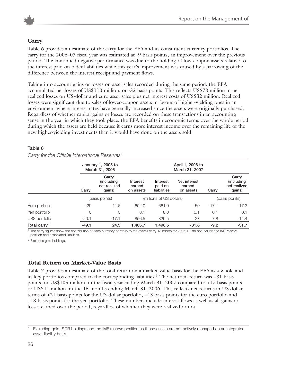

### **Carry**

Table 6 provides an estimate of the carry for the EFA and its constituent currency portfolios. The carry for the 2006–07 fiscal year was estimated at -9 basis points, an improvement over the previous period. The continued negative performance was due to the holding of low-coupon assets relative to the interest paid on older liabilities while this year's improvement was caused by a narrowing of the difference between the interest receipt and payment flows.

Taking into account gains or losses on asset sales recorded during the same period, the EFA accumulated net losses of US\$110 million, or -32 basis points. This reflects US\$78 million in net realized losses on US-dollar and euro asset sales plus net interest costs of US\$32 million. Realized losses were significant due to sales of lower-coupon assets in favour of higher-yielding ones in an environment where interest rates have generally increased since the assets were originally purchased. Regardless of whether capital gains or losses are recorded on these transactions in an accounting sense in the year in which they took place, the EFA benefits in economic terms over the whole period during which the assets are held because it earns more interest income over the remaining life of the new higher-yielding investments than it would have done on the assets sold.

|                          |         | January 1, 2005 to<br>March 31, 2006          |                                 |                                    | April 1, 2006 to<br>March 31, 2007  |         |                                                       |
|--------------------------|---------|-----------------------------------------------|---------------------------------|------------------------------------|-------------------------------------|---------|-------------------------------------------------------|
|                          | Carry   | Carry<br>(including<br>net realized<br>gains) | Interest<br>earned<br>on assets | Interest<br>paid on<br>liabilities | Net interest<br>earned<br>on assets | Carry   | Carry<br><i>(including)</i><br>net realized<br>gains) |
|                          |         | (basis points)                                |                                 | (millions of US dollars)           |                                     |         | (basis points)                                        |
| Euro portfolio           | -29     | 41.6                                          | 602.0                           | 661.0                              | -59                                 | $-17.1$ | $-17.3$                                               |
| Yen portfolio            | 0       | 0                                             | 8.1                             | 8.0                                | 0.1                                 | 0.1     | 0.1                                                   |
| US\$ portfolio           | $-20.1$ | $-17.1$                                       | 856.5                           | 829.5                              | 27                                  | 7.8     | $-14.4$                                               |
| Total carry <sup>2</sup> | $-49.1$ | 24.5                                          | 1.466.7                         | 1.498.5                            | $-31.8$                             | $-9.2$  | $-31.7$                                               |

#### **Table 6** *Carry for the Official International Reserves*<sup>1</sup>

<sup>1</sup> The carry figures show the contribution of each currency portfolio to the overall carry. Numbers for 2006–07 do not include the IMF reserve position and associated liabilities.

<sup>2</sup> Excludes gold holdings.

### **Total Return on Market-Value Basis**

Table 7 provides an estimate of the total return on a market-value basis for the EFA as a whole and its key portfolios compared to the corresponding liabilities.<sup>5</sup> The net total return was +31 basis points, or US\$105 million, in the fiscal year ending March 31, 2007 compared to +17 basis points, or US\$44 million, in the 15 months ending March 31, 2006. This reflects net returns in US dollar terms of +21 basis points for the US-dollar portfolio, +43 basis points for the euro portfolio and +18 basis points for the yen portfolio. These numbers include interest flows as well as all gains or losses earned over the period, regardless of whether they were realized or not.

<sup>5</sup> Excluding gold, SDR holdings and the IMF reserve position as those assets are not actively managed on an integrated asset-liability basis.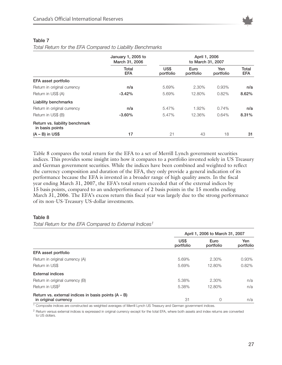

|                                                   | January 1, 2005 to<br>March 31, 2006 |                   | April 1, 2006<br>to March 31, 2007 |                  |                     |
|---------------------------------------------------|--------------------------------------|-------------------|------------------------------------|------------------|---------------------|
|                                                   | Total<br><b>EFA</b>                  | US\$<br>portfolio | Euro<br>portfolio                  | Yen<br>portfolio | Total<br><b>EFA</b> |
| EFA asset portfolio                               |                                      |                   |                                    |                  |                     |
| Return in original currency                       | n/a                                  | 5.69%             | 2.30%                              | 0.93%            | n/a                 |
| Return in US\$ (A)                                | $-3.42%$                             | 5.69%             | 12.80%                             | 0.82%            | 8.62%               |
| <b>Liability benchmarks</b>                       |                                      |                   |                                    |                  |                     |
| Return in original currency                       | n/a                                  | 5.47%             | 1.92%                              | 0.74%            | n/a                 |
| Return in US\$ (B)                                | $-3.60%$                             | 5.47%             | 12.36%                             | 0.64%            | 8.31%               |
| Return vs. liability benchmark<br>in basis points |                                      |                   |                                    |                  |                     |
| $(A - B)$ in US\$                                 | 17                                   | 21                | 43                                 | 18               | 31                  |

#### **Table 7**

*Total Return for the EFA Compared to Liability Benchmarks* 

Table 8 compares the total return for the EFA to a set of Merrill Lynch government securities indices. This provides some insight into how it compares to a portfolio invested solely in US Treasury and German government securities. While the indices have been combined and weighted to reflect the currency composition and duration of the EFA, they only provide a general indication of its performance because the EFA is invested in a broader range of high quality assets. In the fiscal year ending March 31, 2007, the EFA's total return exceeded that of the external indices by 15 basis points, compared to an underperformance of 2 basis points in the 15 months ending March 31, 2006. The EFA's excess return this fiscal year was largely due to the strong performance of its non-US-Treasury US-dollar investments.

#### **Table 8**

*Total Return for the EFA Compared to External Indices1*

|                                                       |                   | April 1, 2006 to March 31, 2007 |                  |  |  |
|-------------------------------------------------------|-------------------|---------------------------------|------------------|--|--|
|                                                       | US\$<br>portfolio | Euro<br>portfolio               | Yen<br>portfolio |  |  |
| EFA asset portfolio                                   |                   |                                 |                  |  |  |
| Return in original currency (A)                       | 5.69%             | 2.30%                           | 0.93%            |  |  |
| Return in US\$                                        | 5.69%             | 12.80%                          | 0.82%            |  |  |
| <b>External indices</b>                               |                   |                                 |                  |  |  |
| Return in original currency (B)                       | 5.38%             | 2.30%                           | n/a              |  |  |
| Return in US\$ <sup>2</sup>                           | 5.38%             | 12.80%                          | n/a              |  |  |
| Return vs. external indices in basis points $(A - B)$ |                   |                                 |                  |  |  |
| in original currency                                  | 31                | 0                               | n/a              |  |  |

<sup>1</sup> Composite indices are constructed as weighted averages of Merrill Lynch US Treasury and German government indices.

<sup>2</sup> Return versus external indices is expressed in original currency except for the total EFA, where both assets and index returns are converted to US dollars.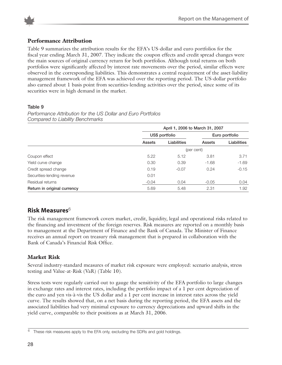

### **Performance Attribution**

Table 9 summarizes the attribution results for the EFA's US-dollar and euro portfolios for the fiscal year ending March 31, 2007. They indicate the coupon effects and credit spread changes were the main sources of original currency return for both portfolios. Although total returns on both portfolios were significantly affected by interest rate movements over the period, similar effects were observed in the corresponding liabilities. This demonstrates a central requirement of the asset-liability management framework of the EFA was achieved over the reporting period. The US-dollar portfolio also earned about 1 basis point from securities-lending activities over the period, since some of its securities were in high demand in the market.

#### **Table 9**

|                             |               | April 1, 2006 to March 31, 2007 |            |                    |  |  |
|-----------------------------|---------------|---------------------------------|------------|--------------------|--|--|
|                             |               | US\$ portfolio                  |            | Euro portfolio     |  |  |
|                             | <b>Assets</b> | Liabilities                     | Assets     | <b>Liabilities</b> |  |  |
|                             |               |                                 | (per cent) |                    |  |  |
| Coupon effect               | 5.22          | 5.12                            | 3.81       | 3.71               |  |  |
| Yield curve change          | 0.30          | 0.39                            | $-1.68$    | $-1.69$            |  |  |
| Credit spread change        | 0.19          | $-0.07$                         | 0.24       | $-0.15$            |  |  |
| Securities-lending revenue  | 0.01          |                                 |            |                    |  |  |
| Residual returns            | $-0.04$       | 0.04                            | $-0.05$    | 0.04               |  |  |
| Return in original currency | 5.69          | 5.48                            | 2.31       | 1.92               |  |  |

*Performance Attribution for the US Dollar and Euro Portfolios Compared to Liability Benchmarks*

### **Risk Measures**<sup>6</sup>

The risk management framework covers market, credit, liquidity, legal and operational risks related to the financing and investment of the foreign reserves. Risk measures are reported on a monthly basis to management at the Department of Finance and the Bank of Canada. The Minister of Finance receives an annual report on treasury risk management that is prepared in collaboration with the Bank of Canada's Financial Risk Office.

### **Market Risk**

Several industry-standard measures of market risk exposure were employed: scenario analysis, stress testing and Value-at-Risk (VaR) (Table 10).

Stress tests were regularly carried out to gauge the sensitivity of the EFA portfolio to large changes in exchange rates and interest rates, including the portfolio impact of a 1 per cent depreciation of the euro and yen vis-à-vis the US dollar and a 1 per cent increase in interest rates across the yield curve. The results showed that, on a net basis during the reporting period, the EFA assets and the associated liabilities had very minimal exposure to currency depreciations and upward shifts in the yield curve, comparable to their positions as at March 31, 2006.

These risk measures apply to the EFA only, excluding the SDRs and gold holdings.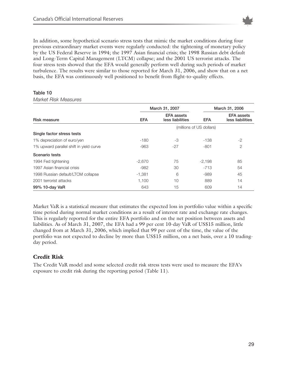

In addition, some hypothetical scenario stress tests that mimic the market conditions during four previous extraordinary market events were regularly conducted: the tightening of monetary policy by the US Federal Reserve in 1994; the 1997 Asian financial crisis; the 1998 Russian debt default and Long-Term Capital Management (LTCM) collapse; and the 2001 US terrorist attacks. The four stress tests showed that the EFA would generally perform well during such periods of market turbulence. The results were similar to those reported for March 31, 2006, and show that on a net basis, the EFA was continuously well positioned to benefit from flight-to-quality effects.

#### **Table 10**

#### *Market Risk Measures*

|                                         | March 31, 2007 |                                       | March 31, 2006           |                                       |
|-----------------------------------------|----------------|---------------------------------------|--------------------------|---------------------------------------|
| <b>Risk measure</b>                     | <b>EFA</b>     | <b>EFA</b> assets<br>less liabilities | <b>EFA</b>               | <b>EFA</b> assets<br>less liabilities |
|                                         |                |                                       | (millions of US dollars) |                                       |
| Single factor stress tests              |                |                                       |                          |                                       |
| 1% depreciation of euro/yen             | $-180$         | -3                                    | $-138$                   | $-2$                                  |
| 1% upward parallel shift in yield curve | $-963$         | $-27$                                 | $-801$                   | $\overline{2}$                        |
| Scenario tests                          |                |                                       |                          |                                       |
| 1994 Fed tightening                     | $-2,670$       | 75                                    | $-2,198$                 | 85                                    |
| 1997 Asian financial crisis             | $-982$         | 30                                    | $-713$                   | 54                                    |
| 1998 Russian default/LTCM collapse      | $-1,381$       | 6                                     | $-989$                   | 45                                    |
| 2001 terrorist attacks                  | 1.100          | 10                                    | 889                      | 14                                    |
| 99% 10-day VaR                          | 643            | 15                                    | 609                      | 14                                    |

Market VaR is a statistical measure that estimates the expected loss in portfolio value within a specific time period during normal market conditions as a result of interest rate and exchange rate changes. This is regularly reported for the entire EFA portfolio and on the net position between assets and liabilities. As of March 31, 2007, the EFA had a 99 per cent 10-day VaR of US\$15 million, little changed from at March 31, 2006, which implied that 99 per cent of the time, the value of the portfolio was not expected to decline by more than US\$15 million, on a net basis, over a 10 tradingday period.

### **Credit Risk**

The Credit VaR model and some selected credit risk stress tests were used to measure the EFA's exposure to credit risk during the reporting period (Table 11).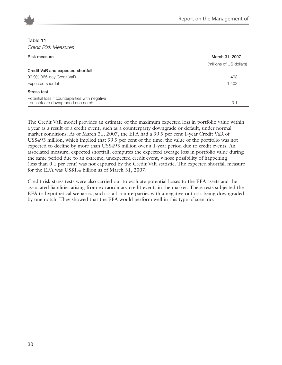

#### **Table 11**

*Credit Risk Measures*

| <b>Risk measure</b>                                                                | March 31, 2007           |
|------------------------------------------------------------------------------------|--------------------------|
|                                                                                    | (millions of US dollars) |
| Credit VaR and expected shortfall                                                  |                          |
| 99.9% 365-day Credit VaR                                                           | 493                      |
| Expected shortfall                                                                 | 1,402                    |
| Stress test                                                                        |                          |
| Potential loss if counterparties with negative<br>outlook are downgraded one notch | 0.1                      |

The Credit VaR model provides an estimate of the maximum expected loss in portfolio value within a year as a result of a credit event, such as a counterparty downgrade or default, under normal market conditions. As of March 31, 2007, the EFA had a 99.9 per cent 1-year Credit VaR of US\$493 million, which implied that 99.9 per cent of the time, the value of the portfolio was not expected to decline by more than US\$493 million over a 1-year period due to credit events. An associated measure, expected shortfall, computes the expected average loss in portfolio value during the same period due to an extreme, unexpected credit event, whose possibility of happening (less than 0.1 per cent) was not captured by the Credit VaR statistic. The expected shortfall measure for the EFA was US\$1.4 billion as of March 31, 2007.

Credit risk stress tests were also carried out to evaluate potential losses to the EFA assets and the associated liabilities arising from extraordinary credit events in the market. These tests subjected the EFA to hypothetical scenarios, such as all counterparties with a negative outlook being downgraded by one notch. They showed that the EFA would perform well in this type of scenario.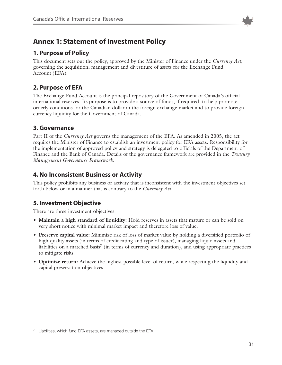

### **Annex 1: Statement of Investment Policy**

### **1. Purpose of Policy**

This document sets out the policy, approved by the Minister of Finance under the *Currency Act*, governing the acquisition, management and divestiture of assets for the Exchange Fund Account (EFA).

### **2. Purpose of EFA**

The Exchange Fund Account is the principal repository of the Government of Canada's official international reserves. Its purpose is to provide a source of funds, if required, to help promote orderly conditions for the Canadian dollar in the foreign exchange market and to provide foreign currency liquidity for the Government of Canada.

### **3. Governance**

Part II of the *Currency Act* governs the management of the EFA. As amended in 2005, the act requires the Minister of Finance to establish an investment policy for EFA assets. Responsibility for the implementation of approved policy and strategy is delegated to officials of the Department of Finance and the Bank of Canada. Details of the governance framework are provided in the *Treasury Management Governance Framework*.

### **4. No Inconsistent Business or Activity**

This policy prohibits any business or activity that is inconsistent with the investment objectives set forth below or in a manner that is contrary to the *Currency Act*.

### **5. Investment Objective**

There are three investment objectives:

- **Maintain a high standard of liquidity:** Hold reserves in assets that mature or can be sold on very short notice with minimal market impact and therefore loss of value.
- **Preserve capital value:** Minimize risk of loss of market value by holding a diversified portfolio of high quality assets (in terms of credit rating and type of issuer), managing liquid assets and liabilities on a matched basis<sup>7</sup> (in terms of currency and duration), and using appropriate practices to mitigate risks.
- **Optimize return:** Achieve the highest possible level of return, while respecting the liquidity and capital preservation objectives.

 $7$  Liabilities, which fund EFA assets, are managed outside the EFA.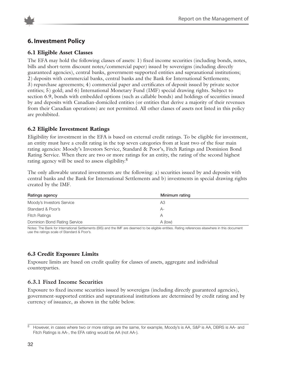

### **6. Investment Policy**

### **6.1 Eligible Asset Classes**

The EFA may hold the following classes of assets: 1) fixed income securities (including bonds, notes, bills and short-term discount notes/commercial paper) issued by sovereigns (including directly guaranteed agencies), central banks, government-supported entities and supranational institutions; 2) deposits with commercial banks, central banks and the Bank for International Settlements; 3) repurchase agreements; 4) commercial paper and certificates of deposit issued by private sector entities; 5) gold; and 6) International Monetary Fund (IMF) special drawing rights. Subject to section 6.9, bonds with embedded options (such as callable bonds) and holdings of securities issued by and deposits with Canadian-domiciled entities (or entities that derive a majority of their revenues from their Canadian operations) are not permitted. All other classes of assets not listed in this policy are prohibited.

### **6.2 Eligible Investment Ratings**

Eligibility for investment in the EFA is based on external credit ratings. To be eligible for investment, an entity must have a credit rating in the top seven categories from at least two of the four main rating agencies: Moody's Investors Service, Standard & Poor's, Fitch Ratings and Dominion Bond Rating Service. When there are two or more ratings for an entity, the rating of the second highest rating agency will be used to assess eligibility.<sup>8</sup>

The only allowable unrated investments are the following: a) securities issued by and deposits with central banks and the Bank for International Settlements and b) investments in special drawing rights created by the IMF.

| Ratings agency               | Minimum rating |
|------------------------------|----------------|
| Moody's Investors Service    | A3             |
| Standard & Poor's            | $A-$           |
| <b>Fitch Ratings</b>         | А              |
| Dominion Bond Rating Service | A (low)        |

Notes: The Bank for International Settlements (BIS) and the IMF are deemed to be eligible entities. Rating references elsewhere in this document use the ratings scale of Standard & Poor's.

### **6.3 Credit Exposure Limits**

Exposure limits are based on credit quality for classes of assets, aggregate and individual counterparties.

### **6.3.1 Fixed Income Securities**

Exposure to fixed income securities issued by sovereigns (including directly guaranteed agencies), government-supported entities and supranational institutions are determined by credit rating and by currency of issuance, as shown in the table below.

 $\overline{8}$  However, in cases where two or more ratings are the same, for example, Moody's is AA, S&P is AA, DBRS is AA- and Fitch Ratings is AA-, the EFA rating would be AA (not AA-).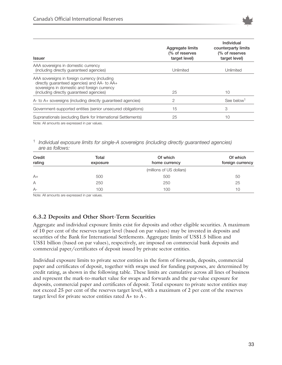

| <b>Issuer</b>                                                                                                                                                                            | Aggregate limits<br>(% of reserves<br>target level) | Individual<br>counterparty limits<br>(% of reserves<br>target level) |
|------------------------------------------------------------------------------------------------------------------------------------------------------------------------------------------|-----------------------------------------------------|----------------------------------------------------------------------|
| AAA sovereigns in domestic currency<br>(including directly quaranteed agencies)                                                                                                          | Unlimited                                           | Unlimited                                                            |
| AAA sovereigns in foreign currency (including<br>directly guaranteed agencies) and AA- to AA+<br>sovereigns in domestic and foreign currency<br>(including directly quaranteed agencies) | 25                                                  | 10                                                                   |
| A- to A+ sovereigns (including directly guaranteed agencies)                                                                                                                             | 2                                                   | See below <sup>1</sup>                                               |
| Government-supported entities (senior unsecured obligations)                                                                                                                             | 15                                                  | 3                                                                    |
| Supranationals (excluding Bank for International Settlements)                                                                                                                            | 25                                                  | 10                                                                   |

Note: All amounts are expressed in par values.

#### <sup>1</sup> *Individual exposure limits for single-A sovereigns (including directly guaranteed agencies) are as follows:*

| Credit<br>rating | Total<br>exposure | Of which<br>home currency | Of which<br>foreign currency |
|------------------|-------------------|---------------------------|------------------------------|
|                  |                   | (millions of US dollars)  |                              |
| $A+$             | 500               | 500                       | 50                           |
| A                | 250               | 250                       | 25                           |
| $A-$             | 100               | 100                       | 10                           |

Note: All amounts are expressed in par values.

### **6.3.2 Deposits and Other Short-Term Securities**

Aggregate and individual exposure limits exist for deposits and other eligible securities. A maximum of 10 per cent of the reserves target level (based on par values) may be invested in deposits and securities of the Bank for International Settlements. Aggregate limits of US\$1.5 billion and US\$1 billion (based on par values), respectively, are imposed on commercial bank deposits and commercial paper/certificates of deposit issued by private sector entities.

Individual exposure limits to private sector entities in the form of forwards, deposits, commercial paper and certificates of deposit, together with swaps used for funding purposes, are determined by credit rating, as shown in the following table. These limits are cumulative across all lines of business and represent the mark-to-market value for swaps and forwards and the par-value exposure for deposits, commercial paper and certificates of deposit. Total exposure to private sector entities may not exceed 25 per cent of the reserves target level, with a maximum of 2 per cent of the reserves target level for private sector entities rated A+ to A-.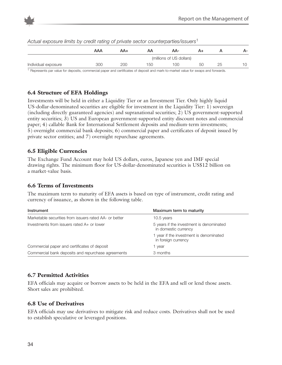



| riotaal oxpoodi'o iliriito by oroalt ratirig or privato oootor oodritorpartioonodoro |     |     |     |                          |    |    |    |
|--------------------------------------------------------------------------------------|-----|-----|-----|--------------------------|----|----|----|
|                                                                                      | AAA | AA+ | AA  | AA-                      | A+ |    | А- |
|                                                                                      |     |     |     | (millions of US dollars) |    |    |    |
| Individual exposure                                                                  | 300 | 200 | 150 | 100                      | 50 | 25 | 10 |
|                                                                                      |     |     |     |                          |    |    |    |

*Actual exposure limits by credit rating of private sector counterparties/issuers*<sup>1</sup>

<sup>1</sup> Represents par value for deposits, commercial paper and certificates of deposit and mark-to-market value for swaps and forwards.

### **6.4 Structure of EFA Holdings**

Investments will be held in either a Liquidity Tier or an Investment Tier. Only highly liquid US-dollar-denominated securities are eligible for investment in the Liquidity Tier: 1) sovereign (including directly guaranteed agencies) and supranational securities; 2) US government-supported entity securities; 3) US and European government-supported entity discount notes and commercial paper; 4) callable Bank for International Settlement deposits and medium-term investments; 5) overnight commercial bank deposits; 6) commercial paper and certificates of deposit issued by private sector entities; and 7) overnight repurchase agreements.

### **6.5 Eligible Currencies**

The Exchange Fund Account may hold US dollars, euros, Japanese yen and IMF special drawing rights. The minimum floor for US-dollar-denominated securities is US\$12 billion on a market-value basis.

### **6.6 Terms of Investments**

The maximum term to maturity of EFA assets is based on type of instrument, credit rating and currency of issuance, as shown in the following table.

| Instrument                                             | Maximum term to maturity                                         |
|--------------------------------------------------------|------------------------------------------------------------------|
| Marketable securities from issuers rated AA- or better | 10.5 years                                                       |
| Investments from issuers rated A+ or lower             | 5 years if the investment is denominated<br>in domestic currency |
|                                                        | year if the investment is denominated<br>in foreign currency     |
| Commercial paper and certificates of deposit           | year                                                             |
| Commercial bank deposits and repurchase agreements     | 3 months                                                         |

### **6.7 Permitted Activities**

EFA officials may acquire or borrow assets to be held in the EFA and sell or lend those assets. Short sales are prohibited.

### **6.8 Use of Derivatives**

EFA officials may use derivatives to mitigate risk and reduce costs. Derivatives shall not be used to establish speculative or leveraged positions.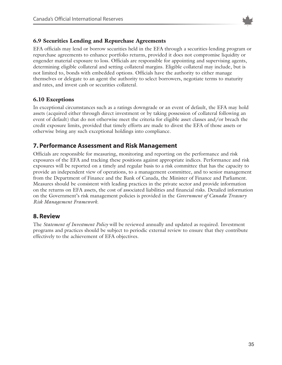

### **6.9 Securities Lending and Repurchase Agreements**

EFA officials may lend or borrow securities held in the EFA through a securities-lending program or repurchase agreements to enhance portfolio returns, provided it does not compromise liquidity or engender material exposure to loss. Officials are responsible for appointing and supervising agents, determining eligible collateral and setting collateral margins. Eligible collateral may include, but is not limited to, bonds with embedded options. Officials have the authority to either manage themselves or delegate to an agent the authority to select borrowers, negotiate terms to maturity and rates, and invest cash or securities collateral.

### **6.10 Exceptions**

In exceptional circumstances such as a ratings downgrade or an event of default, the EFA may hold assets (acquired either through direct investment or by taking possession of collateral following an event of default) that do not otherwise meet the criteria for eligible asset classes and/or breach the credit exposure limits, provided that timely efforts are made to divest the EFA of those assets or otherwise bring any such exceptional holdings into compliance.

### **7. Performance Assessment and Risk Management**

Officials are responsible for measuring, monitoring and reporting on the performance and risk exposures of the EFA and tracking these positions against appropriate indices. Performance and risk exposures will be reported on a timely and regular basis to a risk committee that has the capacity to provide an independent view of operations, to a management committee, and to senior management from the Department of Finance and the Bank of Canada, the Minister of Finance and Parliament. Measures should be consistent with leading practices in the private sector and provide information on the returns on EFA assets, the cost of associated liabilities and financial risks. Detailed information on the Government's risk management policies is provided in the *Government of Canada Treasury Risk Management Framework*.

### **8. Review**

The *Statement of Investment Policy* will be reviewed annually and updated as required. Investment programs and practices should be subject to periodic external review to ensure that they contribute effectively to the achievement of EFA objectives.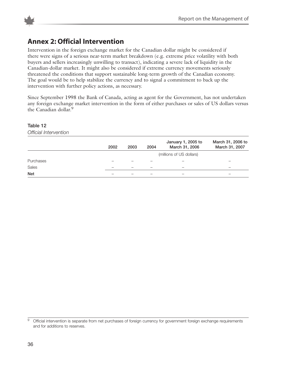

### **Annex 2: Official Intervention**

Intervention in the foreign exchange market for the Canadian dollar might be considered if there were signs of a serious near-term market breakdown (e.g. extreme price volatility with both buyers and sellers increasingly unwilling to transact), indicating a severe lack of liquidity in the Canadian-dollar market. It might also be considered if extreme currency movements seriously threatened the conditions that support sustainable long-term growth of the Canadian economy. The goal would be to help stabilize the currency and to signal a commitment to back up the intervention with further policy actions, as necessary.

Since September 1998 the Bank of Canada, acting as agent for the Government, has not undertaken any foreign exchange market intervention in the form of either purchases or sales of US dollars versus the Canadian dollar.<sup>9</sup>

#### **Table 12**

*Official Intervention*

|            | 2002 | 2003 | 2004                     | January 1, 2005 to<br>March 31, 2006 | March 31, 2006 to<br>March 31, 2007 |
|------------|------|------|--------------------------|--------------------------------------|-------------------------------------|
|            |      |      |                          | (millions of US dollars)             |                                     |
| Purchases  |      |      |                          |                                      |                                     |
| Sales      |      |      | $\overline{\phantom{m}}$ |                                      | –                                   |
| <b>Net</b> |      |      |                          | $\overline{\phantom{m}}$             |                                     |

<sup>9</sup> Official intervention is separate from net purchases of foreign currency for government foreign exchange requirements and for additions to reserves.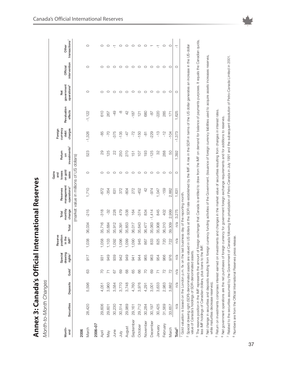| ام<br>ح<br>Ι                    |
|---------------------------------|
| $\frac{1}{3}$<br>i              |
|                                 |
| ני<br>י<br><b>Sycher</b>        |
| $\ddot{\cdot}$<br>Annex 3.<br>ı |

Month-to-Month Changes *Month-to-Month Changes*

|               |                                                             |          |                   |                                           | Reserve                                |        |                                      |                                                   | Gains<br>and               |                                         | Foreign                     |                        |                                                                                                                                          |                          |                                    |
|---------------|-------------------------------------------------------------|----------|-------------------|-------------------------------------------|----------------------------------------|--------|--------------------------------------|---------------------------------------------------|----------------------------|-----------------------------------------|-----------------------------|------------------------|------------------------------------------------------------------------------------------------------------------------------------------|--------------------------|------------------------------------|
| Month-<br>end | Securities                                                  | Deposits | Gold <sup>1</sup> | drawing<br>Special<br>rights <sup>2</sup> | position<br>in the<br>$\mathsf{IMF}^3$ | Total  | monthly<br>change<br>Total           | management<br>operations <sup>4</sup><br>Reserves | on gold<br>losses<br>sales | investments <sup>5</sup><br>Return<br>δ | currency<br>charges<br>debt | Revaluation<br>effects | government<br>operations <sup>6</sup><br>Net                                                                                             | intervention<br>Official | transactions <sup>7</sup><br>Other |
|               |                                                             |          |                   |                                           |                                        |        |                                      | (market value in millions of US dollars)          |                            |                                         |                             |                        |                                                                                                                                          |                          |                                    |
| March<br>2006 | 28,420                                                      | 5,596    | 63                | 917                                       | 038<br>$\overline{ }$                  | 36,034 | $-215$                               | 1,710                                             | O                          | 523                                     | $-1,326$                    | $-1,122$               | O                                                                                                                                        | O                        | O                                  |
|               |                                                             |          |                   |                                           |                                        |        |                                      |                                                   |                            |                                         |                             |                        |                                                                                                                                          |                          |                                    |
| 2006-07       |                                                             |          |                   |                                           |                                        |        |                                      |                                                   |                            |                                         |                             |                        |                                                                                                                                          |                          |                                    |
| April         | 29,606                                                      | 4,051    | P2                | 931                                       | 058                                    | 35,716 | $\frac{318}{2}$                      | -872                                              | O                          | 29                                      | $-85$                       | 610                    |                                                                                                                                          | C                        | O                                  |
| Vay           | 29,601                                                      | 3,960    |                   | 949                                       | 103                                    | 35,684 | -32                                  | -354                                              | O                          | 125                                     | -70                         | 267                    | ◯                                                                                                                                        | ◯                        | O                                  |
| June          | 30,230                                                      | 3,584    | 67                | 939                                       | 092                                    | 35,912 | 228                                  | 631                                               | O                          | 22                                      | 375                         | $-49$                  | C                                                                                                                                        | O                        | π                                  |
| $\leq$        | 30,514                                                      | 3,770    | 69                | 942                                       | 096                                    | 36,391 | 479                                  | 372                                               | O                          | 250                                     | $-135$                      | ထို                    | C                                                                                                                                        | C                        | O                                  |
| August        | 29,989                                                      | 3,748    | 89                | 949                                       | 099                                    | 35,853 | 538                                  | -804                                              | O                          | 270                                     | $-47$                       | 42                     | C                                                                                                                                        | C                        | O                                  |
| September     | 29,161                                                      | 4,760    | 65                | 941                                       | 090                                    | 36,017 | 164                                  | 272                                               | O                          | 151                                     | $-72$                       | $-187$                 | C                                                                                                                                        | C                        | $\circ$                            |
| October       | 29,712                                                      | 3,976    | 88                | 944                                       | 945                                    | 35,643 | $-374$                               | -452                                              | O                          | 107                                     | $-150$                      | 121                    | O                                                                                                                                        | O                        | O                                  |
| November      | 30,284                                                      | 4,291    | 20                | 965                                       | 867                                    | 36,477 | 834                                  | 42                                                | O                          | 193                                     | $\overline{8}$              | 680                    | O                                                                                                                                        | O                        | O                                  |
| December      | 30,197                                                      | 3,001    | 69                | 963                                       | 833                                    | 35,063 | $-1,414$                             | $-974$                                            | $\circ$                    | $-125$                                  | $-229$                      | $-8-$                  | C                                                                                                                                        | C                        |                                    |
| January       | 30,425                                                      | 3,633    |                   | 954                                       | 825                                    | 35,908 | 845                                  | 1,047                                             | O                          | 32                                      | $\frac{1}{2}$               | $-220$                 | C                                                                                                                                        | C                        | 7                                  |
| February      | 31,569                                                      | 2,983    | 72                | 966                                       | 720                                    | 36,310 | 402                                  | $-159$                                            | O                          | 288                                     | $-12$                       | 285                    | O                                                                                                                                        | O                        | O                                  |
| March         | 33,657                                                      | 3,882    | 22                | 976                                       | 722                                    | 39,309 | 2,999                                | 2,882                                             | O                          | 50                                      | $-104$                      | 171                    | O                                                                                                                                        | O                        | O                                  |
| Total $^8$    | n/a                                                         | n/a      | n/a               | n/a                                       | n/a                                    | n/a    | 3,275                                | 1,631                                             | $\circ$                    | 1,392                                   | $-1,373$                    | 1,625                  | O                                                                                                                                        | O                        | ٣                                  |
|               | Gold valuation is based on the London p.m. fix on the last  |          |                   |                                           |                                        |        | business day of the reporting month. |                                                   |                            |                                         |                             |                        |                                                                                                                                          |                          |                                    |
|               | 2 Special drawing right (SDR)-denominated assets are valued |          |                   |                                           |                                        |        |                                      |                                                   |                            |                                         |                             |                        | in US dollars at the SDR rate established by the IMF. A rise in the SDR in terms of the US dollar generates an increase in the US-dollar |                          |                                    |
|               | value of Canada's holdings of SDR-denominated assets.       |          |                   |                                           |                                        |        |                                      |                                                   |                            |                                         |                             |                        |                                                                                                                                          |                          |                                    |

<sup>3</sup> The reserve position in the IMF represents the amount of foreign exchange that Canada is entitled to draw from the IMF on demand for balance of payments purposes. It equals the Canadian quota,<br>less IMF holdings of Cana <sup>3</sup> The reserve position in the IMF represents the amount of foreign exchange that Canada is entitled to draw from the IMF on demand for balance of payments purposes. It equals the Canadian quota, less IMF holdings of Canadian dollars, plus loans to the IMF.

4 Net change in securities and deposits resulting from foreign currency funding activities of the Government. (Issuance of foreign currency liabilities used to acquire assets increases reserves, 4 Net change in securities and deposits resulting from foreign currency funding activities of the Government. (Issuance of foreign currency liabilities used to acquire assets increases reserves, while maturities decrease reserves). while maturities decrease reserves).

<sup>5</sup> Return on investments comprises interest earned on investments and changes in the market value of securities resulting from changes in interest rates. Return on investments comprises interest earned on investments and changes in the market value of securities resulting from changes in interest rates.

<sup>6</sup> Net government operations are the net purchases of foreign currency for government foreign exchange requirements and for additions to reserves. Net government operations are the net purchases of foreign currency for government foreign exchange requirements and for additions to reserves.

7 Related to the securities assumed by the Government of Canada following the privatization of Petro-Canada in July 1991 and the subsequent dissolution of Petro-Canada Limited in 2001. Related to the securities assumed by the Government of Canada following the privatization of Petro-Canada in July 1991 and the subsequent dissolution of Petro-Canada Limited in 2001. <sup>8</sup> Numbers are from the Official International Reserves press release. Numbers are from the Official International Reserves press release.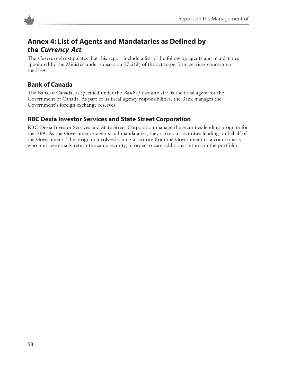



### **Annex 4: List of Agents and Mandataries as Defined by the** *Currency Act*

The *Currency Act* stipulates that this report include a list of the following agents and mandataries appointed by the Minister under subsection  $17.2(3)$  of the act to perform services concerning the EFA.

### **Bank of Canada**

The Bank of Canada, as specified under the *Bank of Canada Act*, is the fiscal agent for the Government of Canada. As part of its fiscal agency responsibilities, the Bank manages the Government's foreign exchange reserves.

### **RBC Dexia Investor Services and State Street Corporation**

RBC Dexia Investor Services and State Street Corporation manage the securities-lending program for the EFA. As the Government's agents and mandataries, they carry out securities lending on behalf of the Government. The program involves loaning a security from the Government to a counterparty, who must eventually return the same security, in order to earn additional return on the portfolio.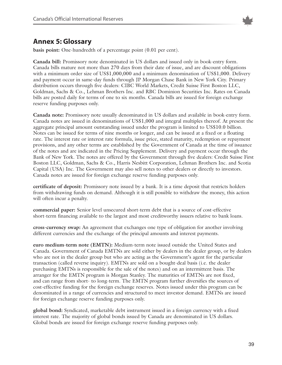

### **Annex 5: Glossary**

**basis point:** One-hundredth of a percentage point (0.01 per cent).

**Canada bill:** Promissory note denominated in US dollars and issued only in book-entry form. Canada bills mature not more than 270 days from their date of issue, and are discount obligations with a minimum order size of US\$1,000,000 and a minimum denomination of US\$1,000. Delivery and payment occur in same-day funds through JP Morgan Chase Bank in New York City. Primary distribution occurs through five dealers: CIBC World Markets, Credit Suisse First Boston LLC, Goldman, Sachs & Co., Lehman Brothers Inc. and RBC Dominion Securities Inc. Rates on Canada bills are posted daily for terms of one to six months. Canada bills are issued for foreign exchange reserve funding purposes only.

**Canada note:** Promissory note usually denominated in US dollars and available in book-entry form. Canada notes are issued in denominations of US\$1,000 and integral multiples thereof. At present the aggregate principal amount outstanding issued under the program is limited to US\$10.0 billion. Notes can be issued for terms of nine months or longer, and can be issued at a fixed or a floating rate. The interest rate or interest rate formula, issue price, stated maturity, redemption or repayment provisions, and any other terms are established by the Government of Canada at the time of issuance of the notes and are indicated in the Pricing Supplement. Delivery and payment occur through the Bank of New York. The notes are offered by the Government through five dealers: Credit Suisse First Boston LLC, Goldman, Sachs & Co., Harris Nesbitt Corporation, Lehman Brothers Inc. and Scotia Capital (USA) Inc. The Government may also sell notes to other dealers or directly to investors. Canada notes are issued for foreign exchange reserve funding purposes only.

**certificate of deposit:** Promissory note issued by a bank. It is a time deposit that restricts holders from withdrawing funds on demand. Although it is still possible to withdraw the money, this action will often incur a penalty.

**commercial paper:** Senior level unsecured short-term debt that is a source of cost-effective short-term financing available to the largest and most creditworthy issuers relative to bank loans.

**cross-currency swap:** An agreement that exchanges one type of obligation for another involving different currencies and the exchange of the principal amounts and interest payments.

**euro medium-term note (EMTN):** Medium-term note issued outside the United States and Canada. Government of Canada EMTNs are sold either by dealers in the dealer group, or by dealers who are not in the dealer group but who are acting as the Government's agent for the particular transaction (called reverse inquiry). EMTNs are sold on a bought-deal basis (i.e. the dealer purchasing EMTNs is responsible for the sale of the notes) and on an intermittent basis. The arranger for the EMTN program is Morgan Stanley. The maturities of EMTNs are not fixed, and can range from short- to long-term. The EMTN program further diversifies the sources of cost-effective funding for the foreign exchange reserves. Notes issued under this program can be denominated in a range of currencies and structured to meet investor demand. EMTNs are issued for foreign exchange reserve funding purposes only.

**global bond:** Syndicated, marketable debt instrument issued in a foreign currency with a fixed interest rate. The majority of global bonds issued by Canada are denominated in US dollars. Global bonds are issued for foreign exchange reserve funding purposes only.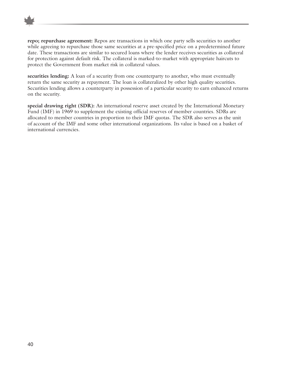

**repo; repurchase agreement:** Repos are transactions in which one party sells securities to another while agreeing to repurchase those same securities at a pre-specified price on a predetermined future date. These transactions are similar to secured loans where the lender receives securities as collateral for protection against default risk. The collateral is marked-to-market with appropriate haircuts to protect the Government from market risk in collateral values.

**securities lending:** A loan of a security from one counterparty to another, who must eventually return the same security as repayment. The loan is collateralized by other high quality securities. Securities lending allows a counterparty in possession of a particular security to earn enhanced returns on the security.

**special drawing right (SDR):** An international reserve asset created by the International Monetary Fund (IMF) in 1969 to supplement the existing official reserves of member countries. SDRs are allocated to member countries in proportion to their IMF quotas. The SDR also serves as the unit of account of the IMF and some other international organizations. Its value is based on a basket of international currencies.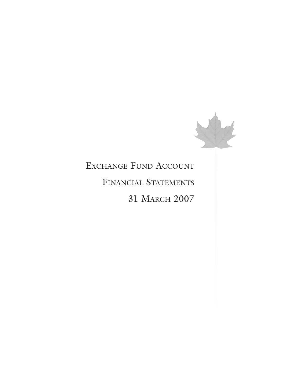

# EXCHANGE FUND ACCOUNT FINANCIAL STATEMENTS 31 MARCH 2007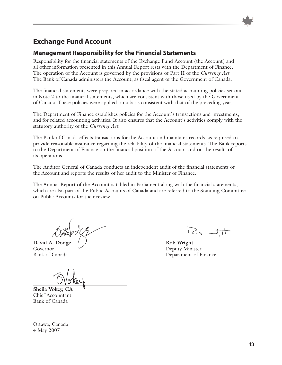

### **Management Responsibility for the Financial Statements**

Responsibility for the financial statements of the Exchange Fund Account (the Account) and all other information presented in this Annual Report rests with the Department of Finance. The operation of the Account is governed by the provisions of Part II of the *Currency Act*. The Bank of Canada administers the Account, as fiscal agent of the Government of Canada.

The financial statements were prepared in accordance with the stated accounting policies set out in Note 2 to the financial statements, which are consistent with those used by the Government of Canada. These policies were applied on a basis consistent with that of the preceding year.

The Department of Finance establishes policies for the Account's transactions and investments, and for related accounting activities. It also ensures that the Account's activities comply with the statutory authority of the *Currency Act*.

The Bank of Canada effects transactions for the Account and maintains records, as required to provide reasonable assurance regarding the reliability of the financial statements. The Bank reports to the Department of Finance on the financial position of the Account and on the results of its operations.

The Auditor General of Canada conducts an independent audit of the financial statements of the Account and reports the results of her audit to the Minister of Finance.

The Annual Report of the Account is tabled in Parliament along with the financial statements, which are also part of the Public Accounts of Canada and are referred to the Standing Committee on Public Accounts for their review.

David A. Dodge  $\left( \begin{array}{ccc} \end{array} \right)$  Rob Wright Governor Deputy Minister

**Sheila Vokey, CA** Chief Accountant Bank of Canada

 $12.2$ 

Bank of Canada Department of Finance

Ottawa, Canada 4 May 2007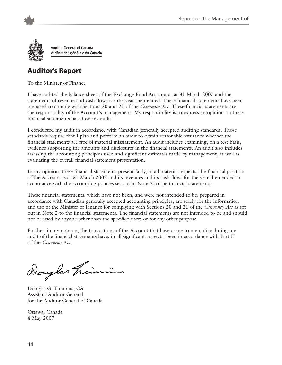

Auditor General of Canada Vérificatrice générale du Canada

## **Auditor's Report**

To the Minister of Finance

I have audited the balance sheet of the Exchange Fund Account as at 31 March 2007 and the statements of revenue and cash flows for the year then ended. These financial statements have been prepared to comply with Sections 20 and 21 of the *Currency Act*. These financial statements are the responsibility of the Account's management. My responsibility is to express an opinion on these financial statements based on my audit.

I conducted my audit in accordance with Canadian generally accepted auditing standards. Those standards require that I plan and perform an audit to obtain reasonable assurance whether the financial statements are free of material misstatement. An audit includes examining, on a test basis, evidence supporting the amounts and disclosures in the financial statements. An audit also includes assessing the accounting principles used and significant estimates made by management, as well as evaluating the overall financial statement presentation.

In my opinion, these financial statements present fairly, in all material respects, the financial position of the Account as at 31 March 2007 and its revenues and its cash flows for the year then ended in accordance with the accounting policies set out in Note 2 to the financial statements.

These financial statements, which have not been, and were not intended to be, prepared in accordance with Canadian generally accepted accounting principles, are solely for the information and use of the Minister of Finance for complying with Sections 20 and 21 of the *Currency Act* as set out in Note 2 to the financial statements. The financial statements are not intended to be and should not be used by anyone other than the specified users or for any other purpose.

Further, in my opinion, the transactions of the Account that have come to my notice during my audit of the financial statements have, in all significant respects, been in accordance with Part II of the *Currency Act*.

Douglas hin

Douglas G. Timmins, CA Assistant Auditor General for the Auditor General of Canada

Ottawa, Canada 4 May 2007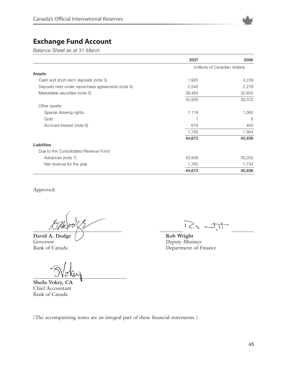

*Balance Sheet as at 31 March* 

|                                                    | 2007   | 2006                           |
|----------------------------------------------------|--------|--------------------------------|
|                                                    |        | (millions of Canadian dollars) |
| Assets                                             |        |                                |
| Cash and short-term deposits (note 3)              | 1,925  | 4,239                          |
| Deposits held under repurchase agreements (note 4) | 2,540  | 2,278                          |
| Marketable securities (note 5)                     | 38,463 | 32,855                         |
|                                                    | 42,928 | 39,372                         |
| Other assets                                       |        |                                |
| Special drawing rights                             | 1,119  | 1,065                          |
| Gold                                               | 7      | 6                              |
| Accrued interest (note 6)                          | 619    | 493                            |
|                                                    | 1,745  | 1,564                          |
|                                                    | 44,673 | 40,936                         |
| Liabilities                                        |        |                                |
| Due to the Consolidated Revenue Fund               |        |                                |
| Advances (note 7)                                  | 42,908 | 39,202                         |
| Net revenue for the year                           | 1,765  | 1,734                          |
|                                                    | 44,673 | 40,936                         |

Approved:

**David A. Dodge**  $\bigcup$  **Rob Wright**<br> **Rob Wright**<br>
Deputy Minis Governor Deputy Minister<br>Bank of Canada Department of F

**Sheila Vokey, CA** Chief Accountant Bank of Canada

 $\sum_{i} \sum_{i}$ 

Department of Finance

(The accompanying notes are an integral part of these financial statements.)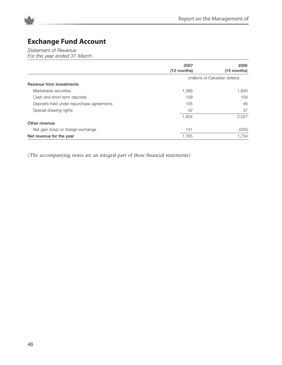

*Statement of Revenue*

*For the year ended 31 March* 

|                                           | 2007<br>$(12$ months) | 2006<br>$(15$ months)          |
|-------------------------------------------|-----------------------|--------------------------------|
|                                           |                       | (millions of Canadian dollars) |
| <b>Revenue from investments</b>           |                       |                                |
| Marketable securities                     | 1,368                 | 1,840                          |
| Cash and short term deposits              | 109                   | 104                            |
| Deposits held under repurchase agreements | 105                   | 46                             |
| Special drawing rights                    | 42                    | 37                             |
|                                           | 1,624                 | 2,027                          |
| Other revenue                             |                       |                                |
| Net gain (loss) on foreign exchange       | 141                   | (293)                          |
| Net revenue for the year                  | 1,765                 | 1,734                          |

(The accompanying notes are an integral part of these financial statements)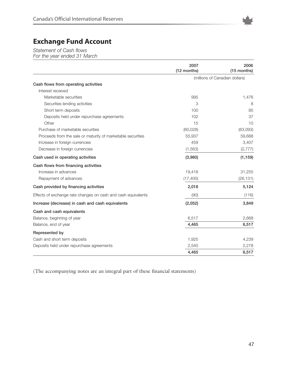

*Statement of Cash flows*

*For the year ended 31 March*

|                                                               | 2007<br>(12 months) | 2006<br>(15 months)            |
|---------------------------------------------------------------|---------------------|--------------------------------|
|                                                               |                     | (millions of Canadian dollars) |
| Cash flows from operating activities                          |                     |                                |
| Interest received                                             |                     |                                |
| Marketable securities                                         | 995                 | 1,476                          |
| Securities lending activities                                 | 3                   | 8                              |
| Short term deposits                                           | 100                 | 85                             |
| Deposits held under repurchase agreements                     | 102                 | 37                             |
| Other                                                         | 15                  | 10                             |
| Purchase of marketable securities                             | (60, 028)           | (63,093)                       |
| Proceeds from the sale or maturity of marketable securities   | 55,937              | 59,688                         |
| Increase in foreign currencies                                | 459                 | 3,407                          |
| Decrease in foreign currencies                                | (1, 563)            | (2, 777)                       |
| Cash used in operating activities                             | (3,980)             | (1, 159)                       |
| Cash flows from financing activities                          |                     |                                |
| Increase in advances                                          | 19,418              | 31,255                         |
| Repayment of advances                                         | (17, 400)           | (26, 131)                      |
| Cash provided by financing activities                         | 2,018               | 5,124                          |
| Effects of exchange rate changes on cash and cash equivalents | (90)                | (116)                          |
| Increase (decrease) in cash and cash equivalents              | (2,052)             | 3,849                          |
| Cash and cash equivalents                                     |                     |                                |
| Balance, beginning of year                                    | 6,517               | 2,668                          |
| Balance, end of year                                          | 4,465               | 6,517                          |
| Represented by                                                |                     |                                |
| Cash and short term deposits                                  | 1,925               | 4,239                          |
| Deposits held under repurchase agreements                     | 2,540               | 2,278                          |
|                                                               | 4,465               | 6,517                          |

(The accompanying notes are an integral part of these financial statements)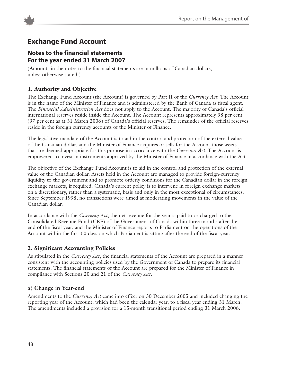

### **Notes to the financial statements For the year ended 31 March 2007**

(Amounts in the notes to the financial statements are in millions of Canadian dollars, unless otherwise stated.)

### **1. Authority and Objective**

The Exchange Fund Account (the Account) is governed by Part II of the *Currency Act*. The Account is in the name of the Minister of Finance and is administered by the Bank of Canada as fiscal agent. The *Financial Administration Act* does not apply to the Account. The majority of Canada's official international reserves reside inside the Account. The Account represents approximately 98 per cent (97 per cent as at 31 March 2006) of Canada's official reserves. The remainder of the official reserves reside in the foreign currency accounts of the Minister of Finance.

The legislative mandate of the Account is to aid in the control and protection of the external value of the Canadian dollar, and the Minister of Finance acquires or sells for the Account those assets that are deemed appropriate for this purpose in accordance with the *Currency Act*. The Account is empowered to invest in instruments approved by the Minister of Finance in accordance with the Act.

The objective of the Exchange Fund Account is to aid in the control and protection of the external value of the Canadian dollar. Assets held in the Account are managed to provide foreign-currency liquidity to the government and to promote orderly conditions for the Canadian dollar in the foreign exchange markets, if required. Canada's current policy is to intervene in foreign exchange markets on a discretionary, rather than a systematic, basis and only in the most exceptional of circumstances. Since September 1998, no transactions were aimed at moderating movements in the value of the Canadian dollar.

In accordance with the *Currency Act*, the net revenue for the year is paid to or charged to the Consolidated Revenue Fund (CRF) of the Government of Canada within three months after the end of the fiscal year, and the Minister of Finance reports to Parliament on the operations of the Account within the first 60 days on which Parliament is sitting after the end of the fiscal year.

### **2. Significant Accounting Policies**

As stipulated in the *Currency Act*, the financial statements of the Account are prepared in a manner consistent with the accounting policies used by the Government of Canada to prepare its financial statements. The financial statements of the Account are prepared for the Minister of Finance in compliance with Sections 20 and 21 of the *Currency Act*.

### **a) Change in Year-end**

Amendments to the *Currency Act* came into effect on 30 December 2005 and included changing the reporting year of the Account, which had been the calendar year, to a fiscal year ending 31 March. The amendments included a provision for a 15-month transitional period ending 31 March 2006.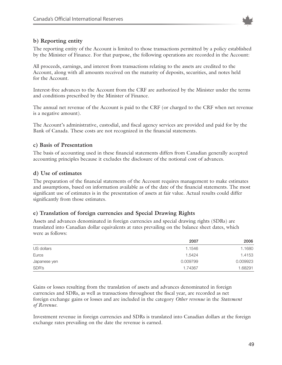

### **b) Reporting entity**

The reporting entity of the Account is limited to those transactions permitted by a policy established by the Minister of Finance. For that purpose, the following operations are recorded in the Account:

All proceeds, earnings, and interest from transactions relating to the assets are credited to the Account, along with all amounts received on the maturity of deposits, securities, and notes held for the Account.

Interest-free advances to the Account from the CRF are authorized by the Minister under the terms and conditions prescribed by the Minister of Finance.

The annual net revenue of the Account is paid to the CRF (or charged to the CRF when net revenue is a negative amount).

The Account's administrative, custodial, and fiscal agency services are provided and paid for by the Bank of Canada. These costs are not recognized in the financial statements.

### **c) Basis of Presentation**

The basis of accounting used in these financial statements differs from Canadian generally accepted accounting principles because it excludes the disclosure of the notional cost of advances.

### **d) Use of estimates**

The preparation of the financial statements of the Account requires management to make estimates and assumptions, based on information available as of the date of the financial statements. The most significant use of estimates is in the presentation of assets at fair value. Actual results could differ significantly from those estimates.

#### **e) Translation of foreign currencies and Special Drawing Rights**

Assets and advances denominated in foreign currencies and special drawing rights (SDRs) are translated into Canadian dollar equivalents at rates prevailing on the balance sheet dates, which were as follows:

|              | 2007     | 2006     |
|--------------|----------|----------|
| US dollars   | 1.1546   | 1.1680   |
| Euros        | 1.5424   | 1.4153   |
| Japanese yen | 0.009799 | 0.009923 |
| SDR's        | 1.74367  | 1.68291  |

Gains or losses resulting from the translation of assets and advances denominated in foreign currencies and SDRs, as well as transactions throughout the fiscal year, are recorded as net foreign exchange gains or losses and are included in the category *Other revenue* in the *Statement of Revenue*.

Investment revenue in foreign currencies and SDRs is translated into Canadian dollars at the foreign exchange rates prevailing on the date the revenue is earned.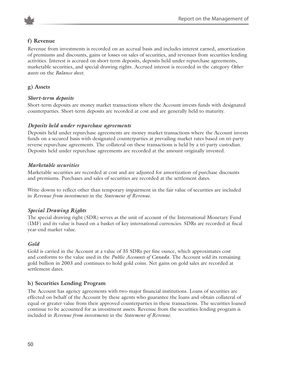

### **f) Revenue**

Revenue from investments is recorded on an accrual basis and includes interest earned, amortization of premiums and discounts, gains or losses on sales of securities, and revenues from securities lending activities. Interest is accrued on short-term deposits, deposits held under repurchase agreements, marketable securities, and special drawing rights. Accrued interest is recorded in the category *Other assets* on the *Balance sheet*.

### **g) Assets**

### *Short-term deposits*

Short-term deposits are money market transactions where the Account invests funds with designated counterparties. Short-term deposits are recorded at cost and are generally held to maturity.

### *Deposits held under repurchase agreements*

Deposits held under repurchase agreements are money market transactions where the Account invests funds on a secured basis with designated counterparties at prevailing market rates based on tri-party reverse repurchase agreements. The collateral on these transactions is held by a tri-party custodian. Deposits held under repurchase agreements are recorded at the amount originally invested.

### *Marketable securities*

Marketable securities are recorded at cost and are adjusted for amortization of purchase discounts and premiums. Purchases and sales of securities are recorded at the settlement dates.

Write-downs to reflect other than temporary impairment in the fair value of securities are included in *Revenue from investments* in the *Statement of Revenue*.

### *Special Drawing Rights*

The special drawing right (SDR) serves as the unit of account of the International Monetary Fund (IMF) and its value is based on a basket of key international currencies. SDRs are recorded at fiscal year-end market value.

### *Gold*

Gold is carried in the Account at a value of 35 SDRs per fine ounce, which approximates cost and conforms to the value used in the *Public Accounts of Canada*. The Account sold its remaining gold bullion in 2003 and continues to hold gold coins. Net gains on gold sales are recorded at settlement dates.

### **h) Securities Lending Program**

The Account has agency agreements with two major financial institutions. Loans of securities are effected on behalf of the Account by these agents who guarantee the loans and obtain collateral of equal or greater value from their approved counterparties in these transactions. The securities loaned continue to be accounted for as investment assets. Revenue from the securities-lending program is included in *Revenue from investments* in the *Statement of Revenue*.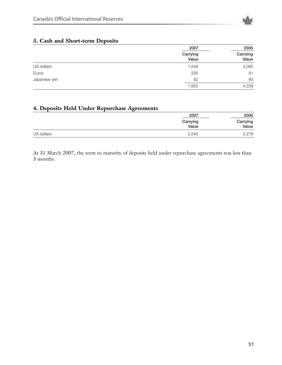

### **3. Cash and Short-term Deposits**

|              | 2007              | 2006              |
|--------------|-------------------|-------------------|
|              | Carrying<br>Value | Carrying<br>Value |
| US dollars   | 1,548             | 4,065             |
| Euros        | 295               | 91                |
| Japanese yen | 82                | 83                |
|              | 1,925             | 4,239             |

### **4. Deposits Held Under Repurchase Agreements**

|            | 2007              | 2006              |
|------------|-------------------|-------------------|
|            | Carrying<br>Value | Carrying<br>Value |
| US dollars | 2,540             | 2,278             |

At 31 March 2007, the term to maturity of deposits held under repurchase agreements was less than 3 months.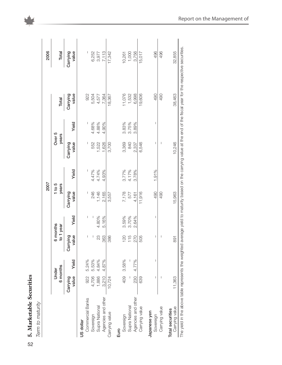|                                    |                   |                   |                       |       | 2007              |       |                   |       |                   | 2006              |
|------------------------------------|-------------------|-------------------|-----------------------|-------|-------------------|-------|-------------------|-------|-------------------|-------------------|
|                                    |                   | 6 months<br>Under | 6 months<br>to 1 year |       | 1 to 5<br>years   |       | Over 5<br>years   |       | Total             | Total             |
|                                    | value<br>Carrying | Yield             | ralue<br>Carrying     | Yield | value<br>Carrying | Yield | value<br>Carrying | Yield | value<br>Carrying | value<br>Carrying |
| Commercial Banks<br>US dollar      | 922               | 5.24%             |                       |       |                   |       |                   | I     | 922               |                   |
| Sovereign                          | 4,706             | 5.53%             | I                     |       | 246               | 4.47% | 552               | 4.68% | 5,504             | 6,252             |
| Supra National                     | 1,886             | 4.84%             | 23                    | 4.80% | 1,146             | 4.74% | 1,522             | 4.88% | 4,577             | 3,977             |
| Agencies and other                 | 3.210             | 4.87%             | 363                   | 5.16% | 2,165             | 4.93% | 1,626             | 4.90% | 7,364             | 7,113             |
| Carrying value                     | 10,724            |                   | 386                   |       | 3,557             |       | 3,700             |       | 18,367            | 17,342            |
| Euro                               |                   |                   |                       |       |                   |       |                   |       |                   |                   |
| Sovereign                          |                   | 409 3.58%         | 120                   | 3.59% | 7,178             | 3.77% | 3,369             | 3.83% | 11,076            | 10,261            |
| Supra National                     |                   |                   | 115                   | 3.70% | 577               | 4.17% | 840               | 3.75% | 1,532             | 1,000             |
| Agencies and other                 | 230               | 4.77%             | 270                   | 2.64% | 4,161             | 3.78% | 2,337             | 3.89% | 6,998             | 3,756             |
| Carrying value                     | 639               |                   | 505                   |       | 11,916            |       | 6,546             |       | 19,606            | 15,017            |
| Japanese yen                       |                   |                   |                       |       |                   |       |                   |       |                   |                   |
| Sovereign                          | I                 |                   | I                     | I     | 490               | 1.91% | I                 | I     | 490               | 496               |
| Carrying value                     |                   |                   |                       |       | 490               |       |                   |       | 490               | 496               |
| Carrying value<br>Total securities | 11,363            |                   | 891                   |       | 15,963            |       | 10,246            |       | 38,463            | 32,855            |

52**5. Marketable Securities**

 $52$ 

5. Marketable Securities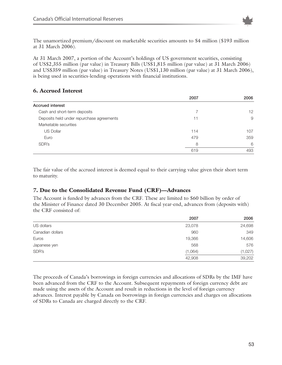

The unamortized premium/discount on marketable securities amounts to \$4 million (\$193 million at 31 March 2006).

At 31 March 2007, a portion of the Account's holdings of US government securities, consisting of US\$2,355 million (par value) in Treasury Bills (US\$1,815 million (par value) at 31 March 2006) and US\$359 million (par value) in Treasury Notes (US\$1,130 million (par value) at 31 March 2006), is being used in securities-lending operations with financial institutions.

### **6. Accrued Interest**

|                                           | 2007 | 2006              |
|-------------------------------------------|------|-------------------|
| <b>Accrued interest</b>                   |      |                   |
| Cash and short-term deposits              |      | $12 \overline{ }$ |
| Deposits held under repurchase agreements | 11   | 9                 |
| Marketable securities                     |      |                   |
| <b>US Dollar</b>                          | 114  | 107               |
| Euro                                      | 479  | 359               |
| SDR's                                     | 8    | 6                 |
|                                           | 619  | 493               |

The fair value of the accrued interest is deemed equal to their carrying value given their short term to maturity.

### **7. Due to the Consolidated Revenue Fund (CRF)—Advances**

The Account is funded by advances from the CRF. These are limited to \$60 billion by order of the Minister of Finance dated 30 December 2005. At fiscal year-end, advances from (deposits with) the CRF consisted of:

|                  | 2007    | 2006    |
|------------------|---------|---------|
| US dollars       | 23,078  | 24,698  |
| Canadian dollars | 960     | 349     |
| Euros            | 19,366  | 14,606  |
| Japanese yen     | 568     | 576     |
| SDR's            | (1,064) | (1,027) |
|                  | 42,908  | 39,202  |

The proceeds of Canada's borrowings in foreign currencies and allocations of SDRs by the IMF have been advanced from the CRF to the Account. Subsequent repayments of foreign currency debt are made using the assets of the Account and result in reductions in the level of foreign currency advances. Interest payable by Canada on borrowings in foreign currencies and charges on allocations of SDRs to Canada are charged directly to the CRF.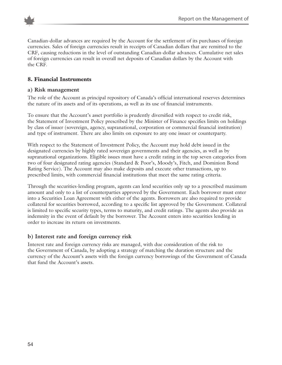

Canadian-dollar advances are required by the Account for the settlement of its purchases of foreign currencies. Sales of foreign currencies result in receipts of Canadian dollars that are remitted to the CRF, causing reductions in the level of outstanding Canadian-dollar advances. Cumulative net sales of foreign currencies can result in overall net deposits of Canadian dollars by the Account with the CRF.

### **8. Financial Instruments**

### **a) Risk management**

The role of the Account as principal repository of Canada's official international reserves determines the nature of its assets and of its operations, as well as its use of financial instruments.

To ensure that the Account's asset portfolio is prudently diversified with respect to credit risk, the Statement of Investment Policy prescribed by the Minister of Finance specifies limits on holdings by class of issuer (sovereign, agency, supranational, corporation or commercial financial institution) and type of instrument. There are also limits on exposure to any one issuer or counterparty.

With respect to the Statement of Investment Policy, the Account may hold debt issued in the designated currencies by highly rated sovereign governments and their agencies, as well as by supranational organizations. Eligible issues must have a credit rating in the top seven categories from two of four designated rating agencies (Standard & Poor's, Moody's, Fitch, and Dominion Bond Rating Service). The Account may also make deposits and execute other transactions, up to prescribed limits, with commercial financial institutions that meet the same rating criteria.

Through the securities-lending program, agents can lend securities only up to a prescribed maximum amount and only to a list of counterparties approved by the Government. Each borrower must enter into a Securities Loan Agreement with either of the agents. Borrowers are also required to provide collateral for securities borrowed, according to a specific list approved by the Government. Collateral is limited to specific security types, terms to maturity, and credit ratings. The agents also provide an indemnity in the event of default by the borrower. The Account enters into securities lending in order to increase its return on investments.

### **b) Interest rate and foreign currency risk**

Interest rate and foreign currency risks are managed, with due consideration of the risk to the Government of Canada, by adopting a strategy of matching the duration structure and the currency of the Account's assets with the foreign currency borrowings of the Government of Canada that fund the Account's assets.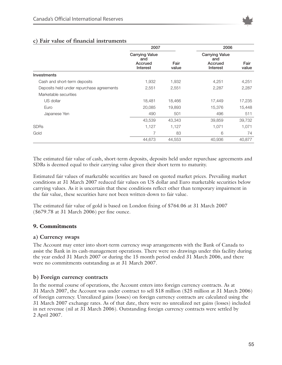

|                                           | 2007                                                |               | 2006                                                |               |
|-------------------------------------------|-----------------------------------------------------|---------------|-----------------------------------------------------|---------------|
|                                           | <b>Carrying Value</b><br>and<br>Accrued<br>Interest | Fair<br>value | <b>Carrying Value</b><br>and<br>Accrued<br>Interest | Fair<br>value |
| Investments                               |                                                     |               |                                                     |               |
| Cash and short-term deposits              | 1,932                                               | 1,932         | 4,251                                               | 4,251         |
| Deposits held under repurchase agreements | 2,551                                               | 2,551         | 2,287                                               | 2,287         |
| Marketable securities                     |                                                     |               |                                                     |               |
| US dollar                                 | 18,481                                              | 18,466        | 17,449                                              | 17,235        |
| Euro                                      | 20,085                                              | 19,893        | 15,376                                              | 15,448        |
| Japanese Yen                              | 490                                                 | 501           | 496                                                 | 511           |
|                                           | 43,539                                              | 43,343        | 39,859                                              | 39,732        |
| <b>SDRs</b>                               | 1,127                                               | 1,127         | 1,071                                               | 1,071         |
| Gold                                      | 7                                                   | 83            | 6                                                   | 74            |
|                                           | 44,673                                              | 44,553        | 40,936                                              | 40,877        |

### **c) Fair value of financial instruments**

The estimated fair value of cash, short-term deposits, deposits held under repurchase agreements and SDRs is deemed equal to their carrying value given their short term to maturity.

Estimated fair values of marketable securities are based on quoted market prices. Prevailing market conditions at 31 March 2007 reduced fair values on US dollar and Euro marketable securities below carrying values. As it is uncertain that these conditions reflect other than temporary impairment in the fair value, these securities have not been written-down to fair value.

The estimated fair value of gold is based on London fixing of \$764.06 at 31 March 2007 (\$679.78 at 31 March 2006) per fine ounce.

### **9. Commitments**

#### **a) Currency swaps**

The Account may enter into short-term currency swap arrangements with the Bank of Canada to assist the Bank in its cash-management operations. There were no drawings under this facility during the year ended 31 March 2007 or during the 15 month period ended 31 March 2006, and there were no commitments outstanding as at 31 March 2007.

#### **b) Foreign currency contracts**

In the normal course of operations, the Account enters into foreign currency contracts. As at 31 March 2007, the Account was under contract to sell \$18 million (\$25 million at 31 March 2006) of foreign currency. Unrealized gains (losses) on foreign currency contracts are calculated using the 31 March 2007 exchange rates. As of that date, there were no unrealized net gains (losses) included in net revenue (nil at 31 March 2006). Outstanding foreign currency contracts were settled by 2 April 2007.